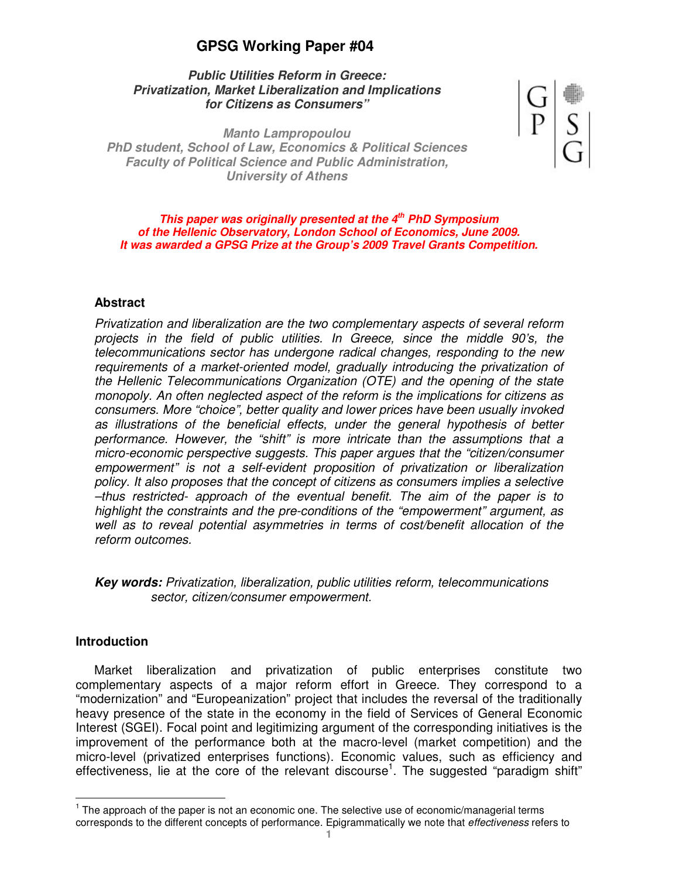# **GPSG Working Paper #04**

## **Public Utilities Reform in Greece: Privatization, Market Liberalization and Implications for Citizens as Consumers"**

**Manto Lampropoulou PhD student, School of Law, Economics & Political Sciences Faculty of Political Science and Public Administration, University of Athens** 



**This paper was originally presented at the 4th PhD Symposium of the Hellenic Observatory, London School of Economics, June 2009. It was awarded a GPSG Prize at the Group's 2009 Travel Grants Competition.** 

## **Abstract**

Privatization and liberalization are the two complementary aspects of several reform projects in the field of public utilities. In Greece, since the middle 90's, the telecommunications sector has undergone radical changes, responding to the new requirements of a market-oriented model, gradually introducing the privatization of the Hellenic Telecommunications Organization (OTE) and the opening of the state monopoly. An often neglected aspect of the reform is the implications for citizens as consumers. More "choice", better quality and lower prices have been usually invoked as illustrations of the beneficial effects, under the general hypothesis of better performance. However, the "shift" is more intricate than the assumptions that a micro-economic perspective suggests. This paper argues that the "citizen/consumer empowerment" is not a self-evident proposition of privatization or liberalization policy. It also proposes that the concept of citizens as consumers implies a selective –thus restricted- approach of the eventual benefit. The aim of the paper is to highlight the constraints and the pre-conditions of the "empowerment" argument, as well as to reveal potential asymmetries in terms of cost/benefit allocation of the reform outcomes.

**Key words:** Privatization, liberalization, public utilities reform, telecommunications sector, citizen/consumer empowerment.

### **Introduction**

 $\overline{a}$ 

Market liberalization and privatization of public enterprises constitute two complementary aspects of a major reform effort in Greece. They correspond to a "modernization" and "Europeanization" project that includes the reversal of the traditionally heavy presence of the state in the economy in the field of Services of General Economic Interest (SGEI). Focal point and legitimizing argument of the corresponding initiatives is the improvement of the performance both at the macro-level (market competition) and the micro-level (privatized enterprises functions). Economic values, such as efficiency and effectiveness, lie at the core of the relevant discourse<sup>1</sup>. The suggested "paradigm shift"

 $1$  The approach of the paper is not an economic one. The selective use of economic/managerial terms corresponds to the different concepts of performance. Epigrammatically we note that effectiveness refers to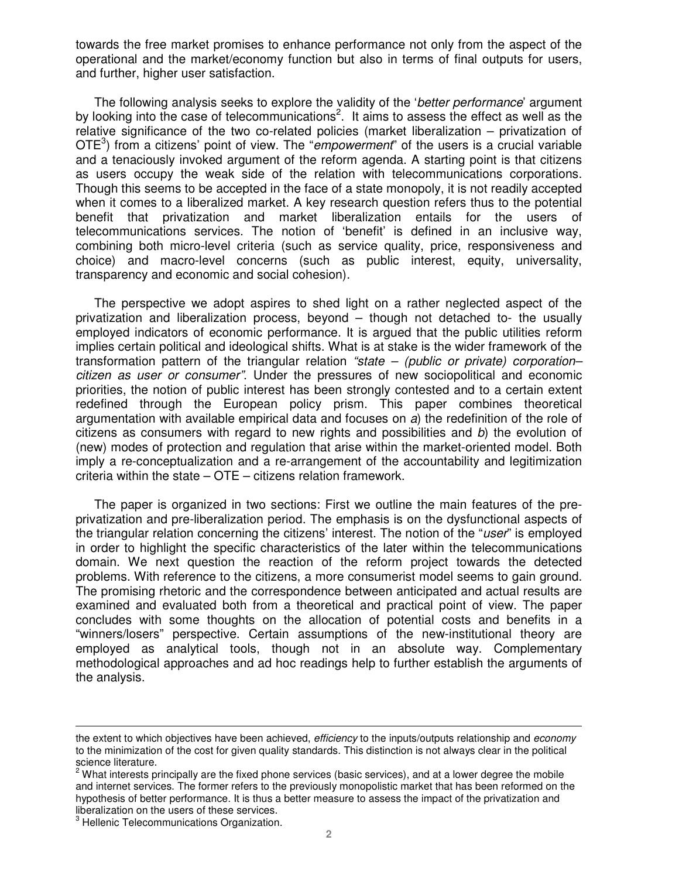towards the free market promises to enhance performance not only from the aspect of the operational and the market/economy function but also in terms of final outputs for users, and further, higher user satisfaction.

The following analysis seeks to explore the validity of the 'better performance' argument by looking into the case of telecommunications<sup>2</sup>. It aims to assess the effect as well as the relative significance of the two co-related policies (market liberalization – privatization of OTE<sup>3</sup>) from a citizens' point of view. The "empowerment" of the users is a crucial variable and a tenaciously invoked argument of the reform agenda. A starting point is that citizens as users occupy the weak side of the relation with telecommunications corporations. Though this seems to be accepted in the face of a state monopoly, it is not readily accepted when it comes to a liberalized market. A key research question refers thus to the potential benefit that privatization and market liberalization entails for the users of telecommunications services. The notion of 'benefit' is defined in an inclusive way, combining both micro-level criteria (such as service quality, price, responsiveness and choice) and macro-level concerns (such as public interest, equity, universality, transparency and economic and social cohesion).

The perspective we adopt aspires to shed light on a rather neglected aspect of the privatization and liberalization process, beyond – though not detached to- the usually employed indicators of economic performance. It is argued that the public utilities reform implies certain political and ideological shifts. What is at stake is the wider framework of the transformation pattern of the triangular relation "state  $-$  (public or private) corporationcitizen as user or consumer". Under the pressures of new sociopolitical and economic priorities, the notion of public interest has been strongly contested and to a certain extent redefined through the European policy prism. This paper combines theoretical argumentation with available empirical data and focuses on a) the redefinition of the role of citizens as consumers with regard to new rights and possibilities and b) the evolution of (new) modes of protection and regulation that arise within the market-oriented model. Both imply a re-conceptualization and a re-arrangement of the accountability and legitimization criteria within the state – OTE – citizens relation framework.

The paper is organized in two sections: First we outline the main features of the preprivatization and pre-liberalization period. The emphasis is on the dysfunctional aspects of the triangular relation concerning the citizens' interest. The notion of the "user" is employed in order to highlight the specific characteristics of the later within the telecommunications domain. We next question the reaction of the reform project towards the detected problems. With reference to the citizens, a more consumerist model seems to gain ground. The promising rhetoric and the correspondence between anticipated and actual results are examined and evaluated both from a theoretical and practical point of view. The paper concludes with some thoughts on the allocation of potential costs and benefits in a "winners/losers" perspective. Certain assumptions of the new-institutional theory are employed as analytical tools, though not in an absolute way. Complementary methodological approaches and ad hoc readings help to further establish the arguments of the analysis.

the extent to which objectives have been achieved, efficiency to the inputs/outputs relationship and economy to the minimization of the cost for given quality standards. This distinction is not always clear in the political science literature.

 $^2$  What interests principally are the fixed phone services (basic services), and at a lower degree the mobile and internet services. The former refers to the previously monopolistic market that has been reformed on the hypothesis of better performance. It is thus a better measure to assess the impact of the privatization and liberalization on the users of these services.

<sup>&</sup>lt;sup>3</sup> Hellenic Telecommunications Organization.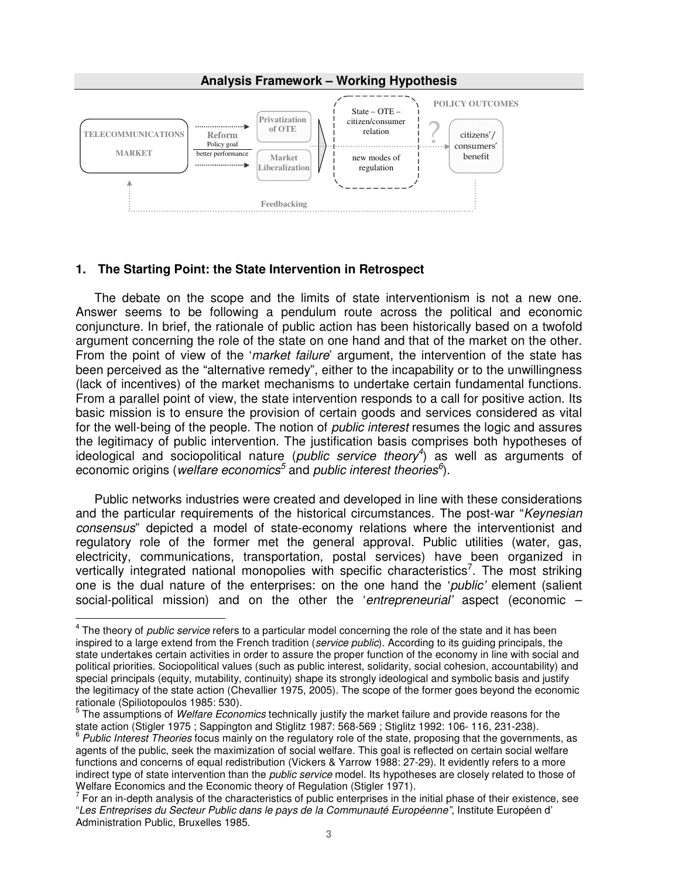

## **1. The Starting Point: the State Intervention in Retrospect**

 $\overline{a}$ 

The debate on the scope and the limits of state interventionism is not a new one. Answer seems to be following a pendulum route across the political and economic conjuncture. In brief, the rationale of public action has been historically based on a twofold argument concerning the role of the state on one hand and that of the market on the other. From the point of view of the '*market failure*' argument, the intervention of the state has been perceived as the "alternative remedy", either to the incapability or to the unwillingness (lack of incentives) of the market mechanisms to undertake certain fundamental functions. From a parallel point of view, the state intervention responds to a call for positive action. Its basic mission is to ensure the provision of certain goods and services considered as vital for the well-being of the people. The notion of *public interest* resumes the logic and assures the legitimacy of public intervention. The justification basis comprises both hypotheses of ideological and sociopolitical nature (public service theory<sup>4</sup>) as well as arguments of economic origins (welfare economics<sup>5</sup> and public interest theories<sup>6</sup>).

Public networks industries were created and developed in line with these considerations and the particular requirements of the historical circumstances. The post-war "Keynesian" consensus" depicted a model of state-economy relations where the interventionist and regulatory role of the former met the general approval. Public utilities (water, gas, electricity, communications, transportation, postal services) have been organized in vertically integrated national monopolies with specific characteristics<sup>7</sup>. The most striking one is the dual nature of the enterprises: on the one hand the 'public' element (salient social-political mission) and on the other the 'entrepreneurial' aspect (economic –

 $<sup>4</sup>$  The theory of *public service* refers to a particular model concerning the role of the state and it has been</sup> inspired to a large extend from the French tradition (service public). According to its quiding principals, the state undertakes certain activities in order to assure the proper function of the economy in line with social and political priorities. Sociopolitical values (such as public interest, solidarity, social cohesion, accountability) and special principals (equity, mutability, continuity) shape its strongly ideological and symbolic basis and justify the legitimacy of the state action (Chevallier 1975, 2005). The scope of the former goes beyond the economic rationale (Spiliotopoulos 1985: 530).

<sup>5</sup> The assumptions of Welfare Economics technically justify the market failure and provide reasons for the state action (Stigler 1975 ; Sappington and Stiglitz 1987: 568-569 ; Stiglitz 1992: 106- 116, 231-238).

<sup>&</sup>lt;sup>6</sup> Public Interest Theories focus mainly on the regulatory role of the state, proposing that the governments, as agents of the public, seek the maximization of social welfare. This goal is reflected on certain social welfare functions and concerns of equal redistribution (Vickers & Yarrow 1988: 27-29). It evidently refers to a more indirect type of state intervention than the public service model. Its hypotheses are closely related to those of Welfare Economics and the Economic theory of Regulation (Stigler 1971).

 $<sup>7</sup>$  For an in-depth analysis of the characteristics of public enterprises in the initial phase of their existence, see</sup> "Les Entreprises du Secteur Public dans le pays de la Communauté Européenne", Institute Européen d' Administration Public, Bruxelles 1985.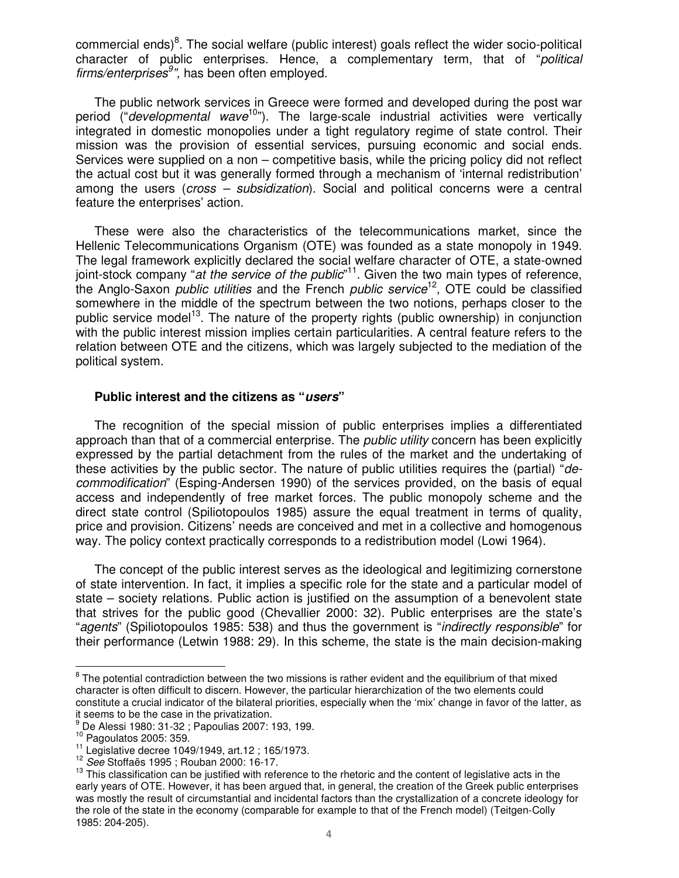commercial ends)<sup>8</sup>. The social welfare (public interest) goals reflect the wider socio-political character of public enterprises. Hence, a complementary term, that of "political firms/enterprises<sup>9</sup>", has been often employed.

The public network services in Greece were formed and developed during the post war period  $($ "*developmental wave*<sup>10</sup>"). The large-scale industrial activities were vertically integrated in domestic monopolies under a tight regulatory regime of state control. Their mission was the provision of essential services, pursuing economic and social ends. Services were supplied on a non – competitive basis, while the pricing policy did not reflect the actual cost but it was generally formed through a mechanism of 'internal redistribution' among the users (cross – subsidization). Social and political concerns were a central feature the enterprises' action.

These were also the characteristics of the telecommunications market, since the Hellenic Telecommunications Organism (OTE) was founded as a state monopoly in 1949. The legal framework explicitly declared the social welfare character of OTE, a state-owned joint-stock company "at the service of the public"<sup>11</sup>. Given the two main types of reference, the Anglo-Saxon *public utilities* and the French *public service*<sup>12</sup>, OTE could be classified somewhere in the middle of the spectrum between the two notions, perhaps closer to the public service model<sup>13</sup>. The nature of the property rights (public ownership) in conjunction with the public interest mission implies certain particularities. A central feature refers to the relation between OTE and the citizens, which was largely subjected to the mediation of the political system.

### **Public interest and the citizens as "users"**

The recognition of the special mission of public enterprises implies a differentiated approach than that of a commercial enterprise. The *public utility* concern has been explicitly expressed by the partial detachment from the rules of the market and the undertaking of these activities by the public sector. The nature of public utilities requires the (partial) "decommodification" (Esping-Andersen 1990) of the services provided, on the basis of equal access and independently of free market forces. The public monopoly scheme and the direct state control (Spiliotopoulos 1985) assure the equal treatment in terms of quality, price and provision. Citizens' needs are conceived and met in a collective and homogenous way. The policy context practically corresponds to a redistribution model (Lowi 1964).

The concept of the public interest serves as the ideological and legitimizing cornerstone of state intervention. In fact, it implies a specific role for the state and a particular model of state – society relations. Public action is justified on the assumption of a benevolent state that strives for the public good (Chevallier 2000: 32). Public enterprises are the state's "agents" (Spiliotopoulos 1985: 538) and thus the government is "*indirectly responsible*" for their performance (Letwin 1988: 29). In this scheme, the state is the main decision-making

**EXECTS THE POTENT THE STAND TO THE THE STAND THE THE STAND OF THE STAND OF THE STAND STAND BY THE STAND BY THE**<br><sup>8</sup> The potential contradiction between the two missions is rather evident and the equilibrium of that mixed character is often difficult to discern. However, the particular hierarchization of the two elements could constitute a crucial indicator of the bilateral priorities, especially when the 'mix' change in favor of the latter, as it seems to be the case in the privatization.

<sup>9</sup> De Alessi 1980: 31-32 ; Papoulias 2007: 193, 199.

 $10$  Pagoulatos 2005: 359.

<sup>11</sup> Legislative decree 1049/1949, art.12 ; 165/1973.

<sup>12</sup> See Stoffaës 1995 ; Rouban 2000: 16-17.

 $13$  This classification can be justified with reference to the rhetoric and the content of legislative acts in the early years of OTE. However, it has been argued that, in general, the creation of the Greek public enterprises was mostly the result of circumstantial and incidental factors than the crystallization of a concrete ideology for the role of the state in the economy (comparable for example to that of the French model) (Teitgen-Colly 1985: 204-205).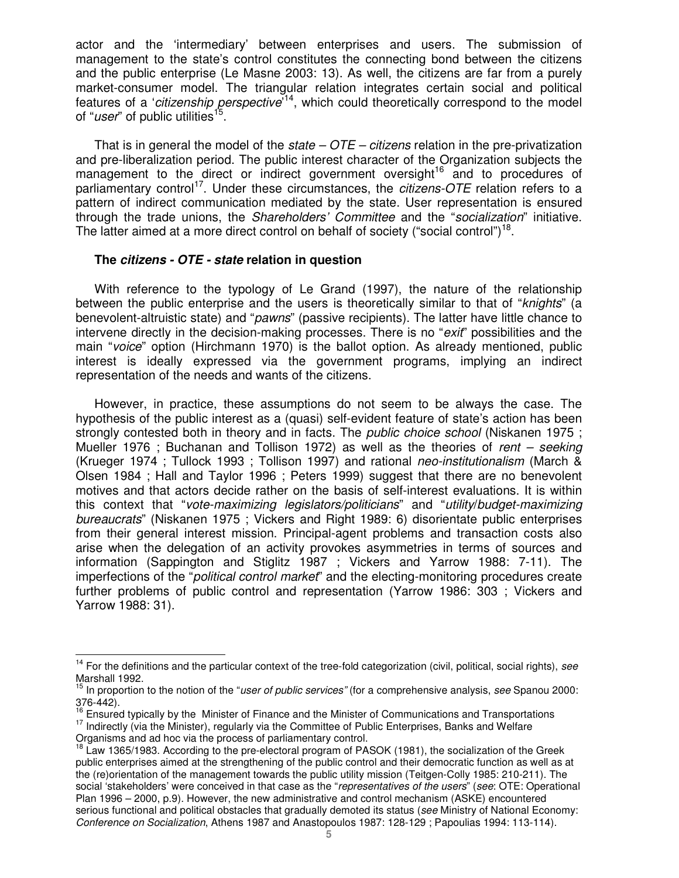actor and the 'intermediary' between enterprises and users. The submission of management to the state's control constitutes the connecting bond between the citizens and the public enterprise (Le Masne 2003: 13). As well, the citizens are far from a purely market-consumer model. The triangular relation integrates certain social and political features of a 'citizenship perspective<sup>'14</sup>, which could theoretically correspond to the model of "user" of public utilities<sup>15</sup>.

That is in general the model of the *state –*  $OTE$  *– citizens* relation in the pre-privatization and pre-liberalization period. The public interest character of the Organization subjects the management to the direct or indirect government oversight<sup>16</sup> and to procedures of parliamentary control<sup>17</sup>. Under these circumstances, the *citizens-OTE* relation refers to a pattern of indirect communication mediated by the state. User representation is ensured through the trade unions, the Shareholders' Committee and the "socialization" initiative. The latter aimed at a more direct control on behalf of society ("social control")<sup>18</sup>.

### **The citizens - OTE - state relation in question**

 $\overline{a}$ 

With reference to the typology of Le Grand (1997), the nature of the relationship between the public enterprise and the users is theoretically similar to that of "*knights*" (a benevolent-altruistic state) and "*pawns*" (passive recipients). The latter have little chance to intervene directly in the decision-making processes. There is no "exit" possibilities and the main "voice" option (Hirchmann 1970) is the ballot option. As already mentioned, public interest is ideally expressed via the government programs, implying an indirect representation of the needs and wants of the citizens.

However, in practice, these assumptions do not seem to be always the case. The hypothesis of the public interest as a (quasi) self-evident feature of state's action has been strongly contested both in theory and in facts. The *public choice school* (Niskanen 1975; Mueller 1976 ; Buchanan and Tollison 1972) as well as the theories of rent – seeking (Krueger 1974 ; Tullock 1993 ; Tollison 1997) and rational neo-institutionalism (March & Olsen 1984 ; Hall and Taylor 1996 ; Peters 1999) suggest that there are no benevolent motives and that actors decide rather on the basis of self-interest evaluations. It is within this context that "vote-maximizing legislators/politicians" and "utility/budget-maximizing bureaucrats" (Niskanen 1975 ; Vickers and Right 1989: 6) disorientate public enterprises from their general interest mission. Principal-agent problems and transaction costs also arise when the delegation of an activity provokes asymmetries in terms of sources and information (Sappington and Stiglitz 1987 ; Vickers and Yarrow 1988: 7-11). The imperfections of the "*political control market*" and the electing-monitoring procedures create further problems of public control and representation (Yarrow 1986: 303 ; Vickers and Yarrow 1988: 31).

 $14$  For the definitions and the particular context of the tree-fold categorization (civil, political, social rights), see Marshall 1992.

<sup>&</sup>lt;sup>15</sup> In proportion to the notion of the "user of public services" (for a comprehensive analysis, see Spanou 2000: 376-442).

<sup>16</sup> Ensured typically by the Minister of Finance and the Minister of Communications and Transportations <sup>17</sup> Indirectly (via the Minister), regularly via the Committee of Public Enterprises, Banks and Welfare Organisms and ad hoc via the process of parliamentary control.

<sup>&</sup>lt;sup>18</sup> Law 1365/1983. According to the pre-electoral program of PASOK (1981), the socialization of the Greek public enterprises aimed at the strengthening of the public control and their democratic function as well as at the (re)orientation of the management towards the public utility mission (Teitgen-Colly 1985: 210-211). The social 'stakeholders' were conceived in that case as the "representatives of the users" (see: OTE: Operational Plan 1996 – 2000, p.9). However, the new administrative and control mechanism (ASKE) encountered serious functional and political obstacles that gradually demoted its status (see Ministry of National Economy: Conference on Socialization, Athens 1987 and Anastopoulos 1987: 128-129 ; Papoulias 1994: 113-114).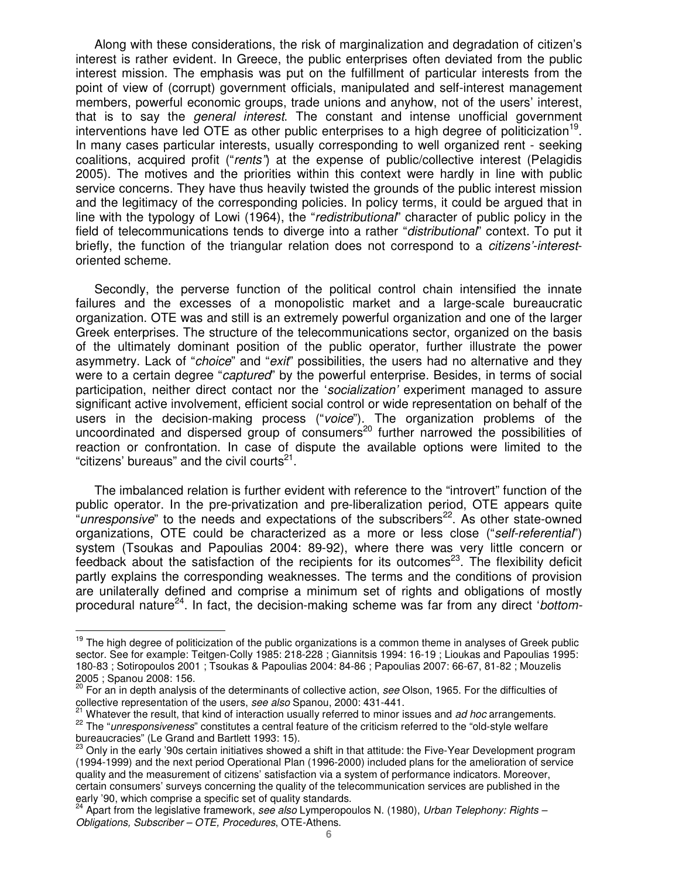Along with these considerations, the risk of marginalization and degradation of citizen's interest is rather evident. In Greece, the public enterprises often deviated from the public interest mission. The emphasis was put on the fulfillment of particular interests from the point of view of (corrupt) government officials, manipulated and self-interest management members, powerful economic groups, trade unions and anyhow, not of the users' interest, that is to say the *general interest*. The constant and intense unofficial government interventions have led OTE as other public enterprises to a high degree of politicization<sup>19</sup>. In many cases particular interests, usually corresponding to well organized rent - seeking coalitions, acquired profit ("rents") at the expense of public/collective interest (Pelagidis 2005). The motives and the priorities within this context were hardly in line with public service concerns. They have thus heavily twisted the grounds of the public interest mission and the legitimacy of the corresponding policies. In policy terms, it could be argued that in line with the typology of Lowi (1964), the "redistributional" character of public policy in the field of telecommunications tends to diverge into a rather "*distributional*" context. To put it briefly, the function of the triangular relation does not correspond to a *citizens'-interest*oriented scheme.

Secondly, the perverse function of the political control chain intensified the innate failures and the excesses of a monopolistic market and a large-scale bureaucratic organization. OTE was and still is an extremely powerful organization and one of the larger Greek enterprises. The structure of the telecommunications sector, organized on the basis of the ultimately dominant position of the public operator, further illustrate the power asymmetry. Lack of "*choice*" and "*exit*" possibilities, the users had no alternative and they were to a certain degree "*captured*" by the powerful enterprise. Besides, in terms of social participation, neither direct contact nor the 'socialization' experiment managed to assure significant active involvement, efficient social control or wide representation on behalf of the users in the decision-making process ("voice"). The organization problems of the uncoordinated and dispersed group of consumers<sup>20</sup> further narrowed the possibilities of reaction or confrontation. In case of dispute the available options were limited to the "citizens' bureaus" and the civil courts $21$ .

The imbalanced relation is further evident with reference to the "introvert" function of the public operator. In the pre-privatization and pre-liberalization period, OTE appears quite "*unresponsive*" to the needs and expectations of the subscribers<sup>22</sup>. As other state-owned organizations, OTE could be characterized as a more or less close ("self-referential") system (Tsoukas and Papoulias 2004: 89-92), where there was very little concern or feedback about the satisfaction of the recipients for its outcomes $^{23}$ . The flexibility deficit partly explains the corresponding weaknesses. The terms and the conditions of provision are unilaterally defined and comprise a minimum set of rights and obligations of mostly procedural nature<sup>24</sup>. In fact, the decision-making scheme was far from any direct 'bottom-

<sup>&</sup>lt;sup>19</sup> The high degree of politicization of the public organizations is a common theme in analyses of Greek public sector. See for example: Teitgen-Colly 1985: 218-228 ; Giannitsis 1994: 16-19 ; Lioukas and Papoulias 1995: 180-83 ; Sotiropoulos 2001 ; Tsoukas & Papoulias 2004: 84-86 ; Papoulias 2007: 66-67, 81-82 ; Mouzelis 2005 ; Spanou 2008: 156.

<sup>&</sup>lt;sup>20</sup> For an in depth analysis of the determinants of collective action, see Olson, 1965. For the difficulties of collective representation of the users, see also Spanou, 2000: 431-441.

Whatever the result, that kind of interaction usually referred to minor issues and ad hoc arrangements. <sup>22</sup> The "unresponsiveness" constitutes a central feature of the criticism referred to the "old-style welfare bureaucracies" (Le Grand and Bartlett 1993: 15).

<sup>&</sup>lt;sup>23</sup> Only in the early '90s certain initiatives showed a shift in that attitude: the Five-Year Development program (1994-1999) and the next period Operational Plan (1996-2000) included plans for the amelioration of service quality and the measurement of citizens' satisfaction via a system of performance indicators. Moreover, certain consumers' surveys concerning the quality of the telecommunication services are published in the early '90, which comprise a specific set of quality standards.

 $24$  Apart from the legislative framework, see also Lymperopoulos N. (1980), Urban Telephony: Rights – Obligations, Subscriber – OTE, Procedures, OTE-Athens.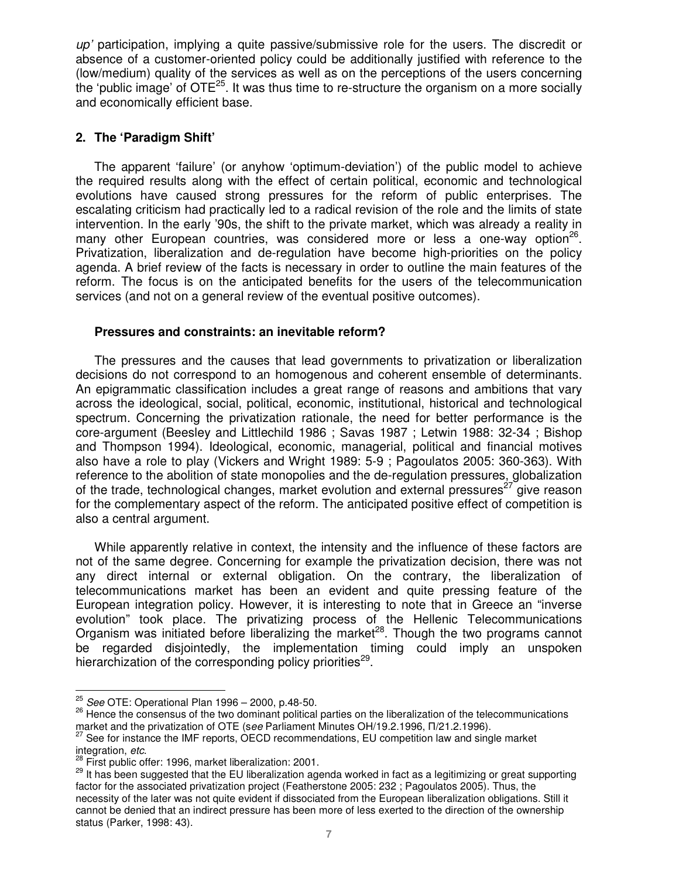$\mu$  participation, implying a quite passive/submissive role for the users. The discredit or absence of a customer-oriented policy could be additionally justified with reference to the (low/medium) quality of the services as well as on the perceptions of the users concerning the 'public image' of  $OTE^{25}$ . It was thus time to re-structure the organism on a more socially and economically efficient base.

## **2. The 'Paradigm Shift'**

The apparent 'failure' (or anyhow 'optimum-deviation') of the public model to achieve the required results along with the effect of certain political, economic and technological evolutions have caused strong pressures for the reform of public enterprises. The escalating criticism had practically led to a radical revision of the role and the limits of state intervention. In the early '90s, the shift to the private market, which was already a reality in many other European countries, was considered more or less a one-way option<sup>26</sup>. Privatization, liberalization and de-regulation have become high-priorities on the policy agenda. A brief review of the facts is necessary in order to outline the main features of the reform. The focus is on the anticipated benefits for the users of the telecommunication services (and not on a general review of the eventual positive outcomes).

## **Pressures and constraints: an inevitable reform?**

The pressures and the causes that lead governments to privatization or liberalization decisions do not correspond to an homogenous and coherent ensemble of determinants. An epigrammatic classification includes a great range of reasons and ambitions that vary across the ideological, social, political, economic, institutional, historical and technological spectrum. Concerning the privatization rationale, the need for better performance is the core-argument (Beesley and Littlechild 1986 ; Savas 1987 ; Letwin 1988: 32-34 ; Bishop and Thompson 1994). Ideological, economic, managerial, political and financial motives also have a role to play (Vickers and Wright 1989: 5-9 ; Pagoulatos 2005: 360-363). With reference to the abolition of state monopolies and the de-regulation pressures, globalization of the trade, technological changes, market evolution and external pressures<sup>27</sup> give reason for the complementary aspect of the reform. The anticipated positive effect of competition is also a central argument.

While apparently relative in context, the intensity and the influence of these factors are not of the same degree. Concerning for example the privatization decision, there was not any direct internal or external obligation. On the contrary, the liberalization of telecommunications market has been an evident and quite pressing feature of the European integration policy. However, it is interesting to note that in Greece an "inverse evolution" took place. The privatizing process of the Hellenic Telecommunications Organism was initiated before liberalizing the market<sup>28</sup>. Though the two programs cannot be regarded disjointedly, the implementation timing could imply an unspoken hierarchization of the corresponding policy priorities<sup>29</sup>.

 $^{25}$  See OTE: Operational Plan 1996 – 2000, p.48-50.

<sup>26</sup> Hence the consensus of the two dominant political parties on the liberalization of the telecommunications market and the privatization of OTE (see Parliament Minutes OH/19.2.1996, Π/21.2.1996).

<sup>27</sup> See for instance the IMF reports, OECD recommendations, EU competition law and single market integration, etc.

 $8$  First public offer: 1996, market liberalization: 2001.

<sup>&</sup>lt;sup>29</sup> It has been suggested that the EU liberalization agenda worked in fact as a legitimizing or great supporting factor for the associated privatization project (Featherstone 2005: 232 ; Pagoulatos 2005). Thus, the necessity of the later was not quite evident if dissociated from the European liberalization obligations. Still it cannot be denied that an indirect pressure has been more of less exerted to the direction of the ownership status (Parker, 1998: 43).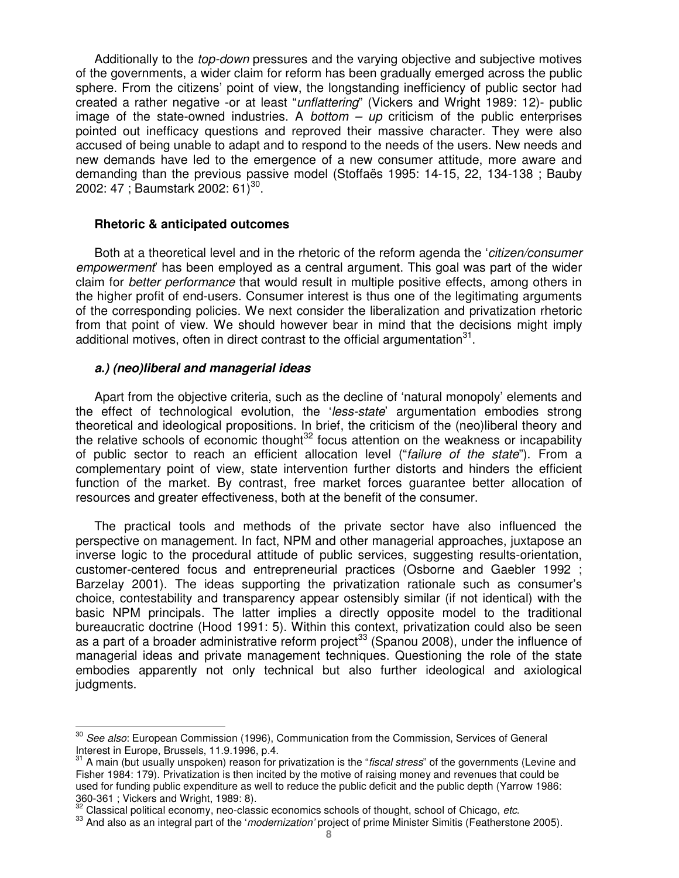Additionally to the *top-down* pressures and the varying objective and subjective motives of the governments, a wider claim for reform has been gradually emerged across the public sphere. From the citizens' point of view, the longstanding inefficiency of public sector had created a rather negative -or at least "unflattering" (Vickers and Wright 1989: 12)- public image of the state-owned industries. A bottom  $-$  up criticism of the public enterprises pointed out inefficacy questions and reproved their massive character. They were also accused of being unable to adapt and to respond to the needs of the users. New needs and new demands have led to the emergence of a new consumer attitude, more aware and demanding than the previous passive model (Stoffaës 1995: 14-15, 22, 134-138 ; Bauby 2002: 47 ; Baumstark 2002: 61)<sup>30</sup>.

#### **Rhetoric & anticipated outcomes**

Both at a theoretical level and in the rhetoric of the reform agenda the '*citizen/consumer* empowerment' has been employed as a central argument. This goal was part of the wider claim for better performance that would result in multiple positive effects, among others in the higher profit of end-users. Consumer interest is thus one of the legitimating arguments of the corresponding policies. We next consider the liberalization and privatization rhetoric from that point of view. We should however bear in mind that the decisions might imply additional motives, often in direct contrast to the official argumentation $^{31}$ .

### **a.) (neo)liberal and managerial ideas**

Apart from the objective criteria, such as the decline of 'natural monopoly' elements and the effect of technological evolution, the 'less-state' argumentation embodies strong theoretical and ideological propositions. In brief, the criticism of the (neo)liberal theory and the relative schools of economic thought<sup>32</sup> focus attention on the weakness or incapability of public sector to reach an efficient allocation level ("failure of the state"). From a complementary point of view, state intervention further distorts and hinders the efficient function of the market. By contrast, free market forces guarantee better allocation of resources and greater effectiveness, both at the benefit of the consumer.

The practical tools and methods of the private sector have also influenced the perspective on management. In fact, NPM and other managerial approaches, juxtapose an inverse logic to the procedural attitude of public services, suggesting results-orientation, customer-centered focus and entrepreneurial practices (Osborne and Gaebler 1992 ; Barzelay 2001). The ideas supporting the privatization rationale such as consumer's choice, contestability and transparency appear ostensibly similar (if not identical) with the basic NPM principals. The latter implies a directly opposite model to the traditional bureaucratic doctrine (Hood 1991: 5). Within this context, privatization could also be seen as a part of a broader administrative reform project<sup>33</sup> (Spanou 2008), under the influence of managerial ideas and private management techniques. Questioning the role of the state embodies apparently not only technical but also further ideological and axiological judgments.

 $\overline{a}$ <sup>30</sup> See also: European Commission (1996), Communication from the Commission, Services of General Interest in Europe, Brussels, 11.9.1996, p.4.

 $31$  A main (but usually unspoken) reason for privatization is the "fiscal stress" of the governments (Levine and Fisher 1984: 179). Privatization is then incited by the motive of raising money and revenues that could be used for funding public expenditure as well to reduce the public deficit and the public depth (Yarrow 1986: 360-361 ; Vickers and Wright, 1989: 8).

Classical political economy, neo-classic economics schools of thought, school of Chicago, etc.

<sup>&</sup>lt;sup>33</sup> And also as an integral part of the 'modernization' project of prime Minister Simitis (Featherstone 2005).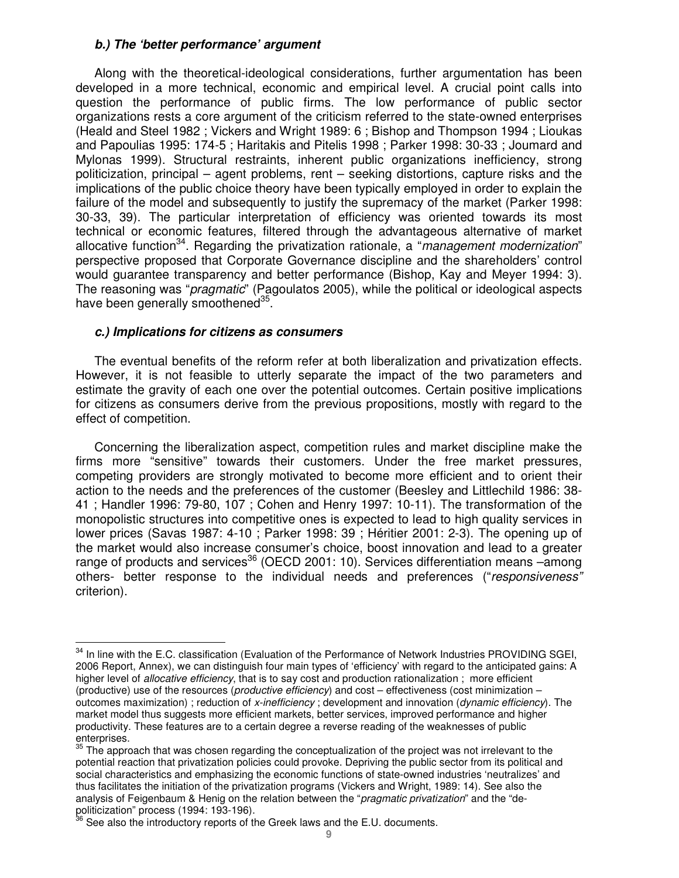## **b.) The 'better performance' argument**

Along with the theoretical-ideological considerations, further argumentation has been developed in a more technical, economic and empirical level. A crucial point calls into question the performance of public firms. The low performance of public sector organizations rests a core argument of the criticism referred to the state-owned enterprises (Heald and Steel 1982 ; Vickers and Wright 1989: 6 ; Bishop and Thompson 1994 ; Lioukas and Papoulias 1995: 174-5 ; Haritakis and Pitelis 1998 ; Parker 1998: 30-33 ; Joumard and Mylonas 1999). Structural restraints, inherent public organizations inefficiency, strong politicization, principal – agent problems, rent – seeking distortions, capture risks and the implications of the public choice theory have been typically employed in order to explain the failure of the model and subsequently to justify the supremacy of the market (Parker 1998: 30-33, 39). The particular interpretation of efficiency was oriented towards its most technical or economic features, filtered through the advantageous alternative of market allocative function<sup>34</sup>. Regarding the privatization rationale, a "*management modernization*" perspective proposed that Corporate Governance discipline and the shareholders' control would guarantee transparency and better performance (Bishop, Kay and Meyer 1994: 3). The reasoning was "*pragmatic*" (Pagoulatos 2005), while the political or ideological aspects have been generally smoothened<sup>35</sup>.

## **c.) Implications for citizens as consumers**

 $\overline{a}$ 

The eventual benefits of the reform refer at both liberalization and privatization effects. However, it is not feasible to utterly separate the impact of the two parameters and estimate the gravity of each one over the potential outcomes. Certain positive implications for citizens as consumers derive from the previous propositions, mostly with regard to the effect of competition.

Concerning the liberalization aspect, competition rules and market discipline make the firms more "sensitive" towards their customers. Under the free market pressures, competing providers are strongly motivated to become more efficient and to orient their action to the needs and the preferences of the customer (Beesley and Littlechild 1986: 38- 41 ; Handler 1996: 79-80, 107 ; Cohen and Henry 1997: 10-11). The transformation of the monopolistic structures into competitive ones is expected to lead to high quality services in lower prices (Savas 1987: 4-10 ; Parker 1998: 39 ; Héritier 2001: 2-3). The opening up of the market would also increase consumer's choice, boost innovation and lead to a greater range of products and services<sup>36</sup> (OECD 2001: 10). Services differentiation means  $-\alpha$  among others- better response to the individual needs and preferences ("responsiveness" criterion).

<sup>&</sup>lt;sup>34</sup> In line with the E.C. classification (Evaluation of the Performance of Network Industries PROVIDING SGEI, 2006 Report, Annex), we can distinguish four main types of 'efficiency' with regard to the anticipated gains: A higher level of *allocative efficiency*, that is to say cost and production rationalization ; more efficient (productive) use of the resources (productive efficiency) and cost – effectiveness (cost minimization – outcomes maximization) ; reduction of x-inefficiency ; development and innovation (dynamic efficiency). The market model thus suggests more efficient markets, better services, improved performance and higher productivity. These features are to a certain degree a reverse reading of the weaknesses of public enterprises.

 $35$  The approach that was chosen regarding the conceptualization of the project was not irrelevant to the potential reaction that privatization policies could provoke. Depriving the public sector from its political and social characteristics and emphasizing the economic functions of state-owned industries 'neutralizes' and thus facilitates the initiation of the privatization programs (Vickers and Wright, 1989: 14). See also the analysis of Feigenbaum & Henig on the relation between the "pragmatic privatization" and the "depoliticization" process (1994: 193-196).

 $3$  See also the introductory reports of the Greek laws and the E.U. documents.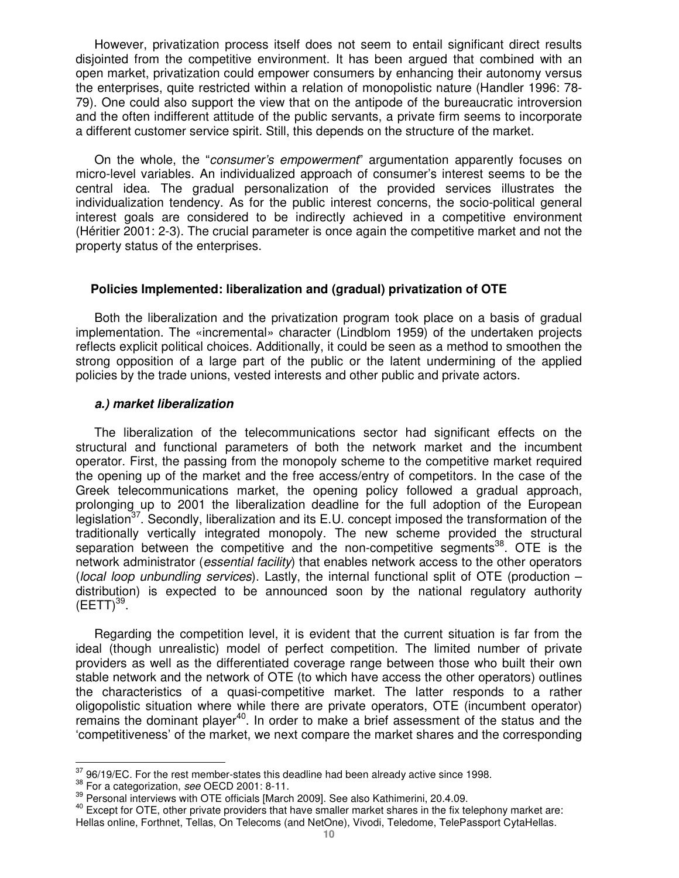However, privatization process itself does not seem to entail significant direct results disjointed from the competitive environment. It has been argued that combined with an open market, privatization could empower consumers by enhancing their autonomy versus the enterprises, quite restricted within a relation of monopolistic nature (Handler 1996: 78- 79). One could also support the view that on the antipode of the bureaucratic introversion and the often indifferent attitude of the public servants, a private firm seems to incorporate a different customer service spirit. Still, this depends on the structure of the market.

On the whole, the "consumer's empowerment" argumentation apparently focuses on micro-level variables. An individualized approach of consumer's interest seems to be the central idea. The gradual personalization of the provided services illustrates the individualization tendency. As for the public interest concerns, the socio-political general interest goals are considered to be indirectly achieved in a competitive environment (Héritier 2001: 2-3). The crucial parameter is once again the competitive market and not the property status of the enterprises.

### **Policies Implemented: liberalization and (gradual) privatization of OTE**

Both the liberalization and the privatization program took place on a basis of gradual implementation. The «incremental» character (Lindblom 1959) of the undertaken projects reflects explicit political choices. Additionally, it could be seen as a method to smoothen the strong opposition of a large part of the public or the latent undermining of the applied policies by the trade unions, vested interests and other public and private actors.

#### **a.) market liberalization**

The liberalization of the telecommunications sector had significant effects on the structural and functional parameters of both the network market and the incumbent operator. First, the passing from the monopoly scheme to the competitive market required the opening up of the market and the free access/entry of competitors. In the case of the Greek telecommunications market, the opening policy followed a gradual approach, prolonging up to 2001 the liberalization deadline for the full adoption of the European legislation<sup>37</sup>. Secondly, liberalization and its E.U. concept imposed the transformation of the traditionally vertically integrated monopoly. The new scheme provided the structural separation between the competitive and the non-competitive segments<sup>38</sup>. OTE is the network administrator (*essential facility*) that enables network access to the other operators (local loop unbundling services). Lastly, the internal functional split of  $\overline{OTE}$  (production – distribution) is expected to be announced soon by the national regulatory authority  $(EETT)^{39}$ .

Regarding the competition level, it is evident that the current situation is far from the ideal (though unrealistic) model of perfect competition. The limited number of private providers as well as the differentiated coverage range between those who built their own stable network and the network of OTE (to which have access the other operators) outlines the characteristics of a quasi-competitive market. The latter responds to a rather oligopolistic situation where while there are private operators, OTE (incumbent operator) remains the dominant player<sup>40</sup>. In order to make a brief assessment of the status and the 'competitiveness' of the market, we next compare the market shares and the corresponding

 $40$  Except for OTE, other private providers that have smaller market shares in the fix telephony market are: Hellas online, Forthnet, Tellas, On Telecoms (and NetOne), Vivodi, Teledome, TelePassport CytaHellas.

 $\overline{a}$  $\frac{37}{1}$ 96/19/EC. For the rest member-states this deadline had been already active since 1998.

<sup>&</sup>lt;sup>38</sup> For a categorization, see OECD 2001: 8-11.

<sup>&</sup>lt;sup>39</sup> Personal interviews with OTE officials [March 2009]. See also Kathimerini, 20.4.09.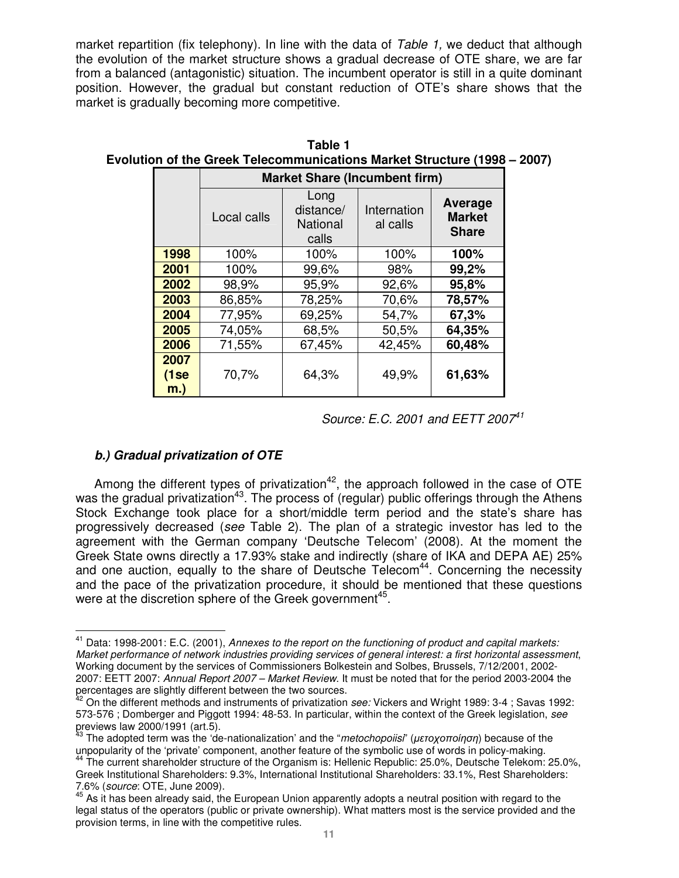market repartition (fix telephony). In line with the data of Table 1, we deduct that although the evolution of the market structure shows a gradual decrease of OTE share, we are far from a balanced (antagonistic) situation. The incumbent operator is still in a quite dominant position. However, the gradual but constant reduction of OTE's share shows that the market is gradually becoming more competitive.

|                        | <b>Market Share (Incumbent firm)</b> |                                               |                         |                                          |  |  |  |  |  |  |  |
|------------------------|--------------------------------------|-----------------------------------------------|-------------------------|------------------------------------------|--|--|--|--|--|--|--|
|                        | Local calls                          | Long<br>distance/<br><b>National</b><br>calls | Internation<br>al calls | Average<br><b>Market</b><br><b>Share</b> |  |  |  |  |  |  |  |
| 1998                   | 100%                                 | 100%                                          | 100%                    | 100%                                     |  |  |  |  |  |  |  |
| 2001                   | 100%                                 | 99,6%                                         | 98%                     | 99,2%                                    |  |  |  |  |  |  |  |
| 2002                   | 98,9%                                | 95,9%                                         | 92,6%                   | 95,8%                                    |  |  |  |  |  |  |  |
| 2003                   | 86,85%                               | 78,25%                                        | 70,6%                   | 78,57%                                   |  |  |  |  |  |  |  |
| 2004                   | 77,95%                               | 69,25%                                        | 54,7%                   | 67,3%                                    |  |  |  |  |  |  |  |
| 2005                   | 74,05%                               | 68,5%                                         | 50,5%                   | 64,35%                                   |  |  |  |  |  |  |  |
| 2006                   | 71,55%                               | 67,45%                                        | 42,45%                  | 60,48%                                   |  |  |  |  |  |  |  |
| 2007<br>(1se<br>$m.$ ) | 70,7%                                | 64,3%                                         | 49,9%                   | 61,63%                                   |  |  |  |  |  |  |  |

**Table 1 Evolution of the Greek Telecommunications Market Structure (1998 – 2007)**

## **b.) Gradual privatization of OTE**

Among the different types of privatization<sup>42</sup>, the approach followed in the case of OTE was the gradual privatization<sup>43</sup>. The process of (regular) public offerings through the Athens Stock Exchange took place for a short/middle term period and the state's share has progressively decreased (see Table 2). The plan of a strategic investor has led to the agreement with the German company 'Deutsche Telecom' (2008). At the moment the Greek State owns directly a 17.93% stake and indirectly (share of IKA and DEPA AE) 25% and one auction, equally to the share of Deutsche Telecom<sup>44</sup>. Concerning the necessity and the pace of the privatization procedure, it should be mentioned that these questions were at the discretion sphere of the Greek government<sup>45</sup>.

Source: E.C. 2001 and EETT 2007<sup>41</sup>

 $\overline{a}$ <sup>41</sup> Data: 1998-2001: E.C. (2001), Annexes to the report on the functioning of product and capital markets: Market performance of network industries providing services of general interest: a first horizontal assessment, Working document by the services of Commissioners Bolkestein and Solbes, Brussels, 7/12/2001, 2002- 2007: EETT 2007: Annual Report 2007 – Market Review. It must be noted that for the period 2003-2004 the percentages are slightly different between the two sources.

On the different methods and instruments of privatization see: Vickers and Wright 1989: 3-4 ; Savas 1992: 573-576 ; Domberger and Piggott 1994: 48-53. In particular, within the context of the Greek legislation, see previews law 2000/1991 (art.5).

The adopted term was the 'de-nationalization' and the "metochopoiisi" (μετοχοποίηση) because of the unpopularity of the 'private' component, another feature of the symbolic use of words in policy-making.

<sup>&</sup>lt;sup>44</sup> The current shareholder structure of the Organism is: Hellenic Republic: 25.0%, Deutsche Telekom: 25.0%, Greek Institutional Shareholders: 9.3%, International Institutional Shareholders: 33.1%, Rest Shareholders: 7.6% (source: OTE, June 2009).

 $45$  As it has been already said, the European Union apparently adopts a neutral position with regard to the legal status of the operators (public or private ownership). What matters most is the service provided and the provision terms, in line with the competitive rules.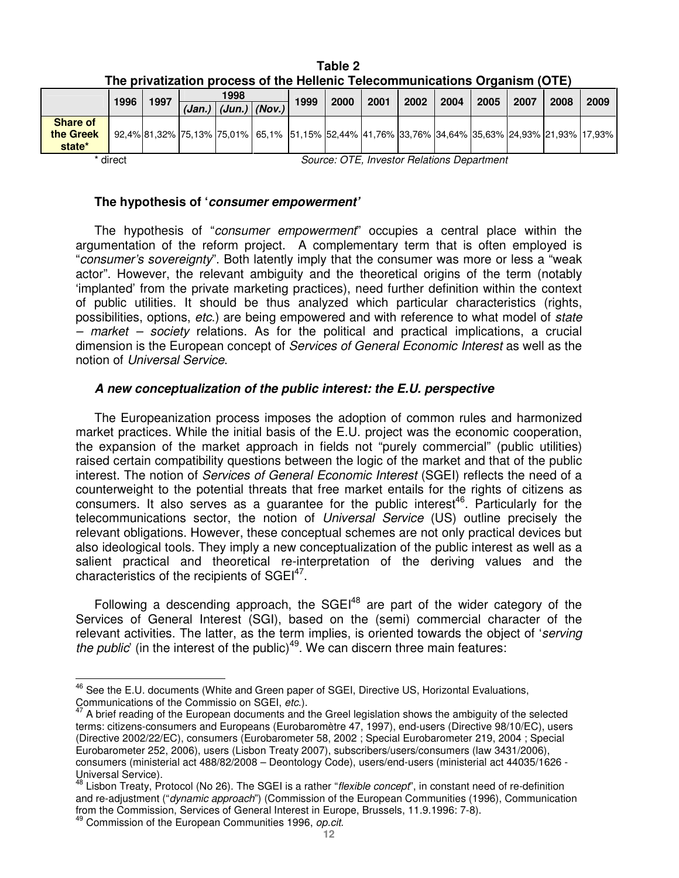|                                     | 1996 | 1997 |  | 1998                                                                                            |  | 1999 | 2000 | 2001 | 2002 | 2004 | 2005 | 2007 | 2008 | 2009 |
|-------------------------------------|------|------|--|-------------------------------------------------------------------------------------------------|--|------|------|------|------|------|------|------|------|------|
|                                     |      |      |  | $(Jan.)$ $(Jun.)$ $( Nov.)$                                                                     |  |      |      |      |      |      |      |      |      |      |
| <b>Share of</b>                     |      |      |  |                                                                                                 |  |      |      |      |      |      |      |      |      |      |
| the Greek                           |      |      |  | 92.4% 81.32% 75.13% 75.01% 65.1% 51.15% 41.76% 41.76% 33.76% 34.64% 35.63% 24.93% 21.93% 17.93% |  |      |      |      |      |      |      |      |      |      |
| state*                              |      |      |  |                                                                                                 |  |      |      |      |      |      |      |      |      |      |
| $\sim$ $ -$<br>. .<br>$\sim$<br>- - |      |      |  |                                                                                                 |  |      |      |      |      |      |      |      |      |      |

**Table 2 The privatization process of the Hellenic Telecommunications Organism (OTE)** 

 $\overline{a}$ 

\* direct  $\blacksquare$  Source: OTE, Investor Relations Department

## **The hypothesis of 'consumer empowerment'**

The hypothesis of "consumer empowerment" occupies a central place within the argumentation of the reform project. A complementary term that is often employed is "consumer's sovereignty". Both latently imply that the consumer was more or less a "weak actor". However, the relevant ambiguity and the theoretical origins of the term (notably 'implanted' from the private marketing practices), need further definition within the context of public utilities. It should be thus analyzed which particular characteristics (rights, possibilities, options, etc.) are being empowered and with reference to what model of state – market – society relations. As for the political and practical implications, a crucial dimension is the European concept of Services of General Economic Interest as well as the notion of Universal Service.

## **A new conceptualization of the public interest: the E.U. perspective**

The Europeanization process imposes the adoption of common rules and harmonized market practices. While the initial basis of the E.U. project was the economic cooperation, the expansion of the market approach in fields not "purely commercial" (public utilities) raised certain compatibility questions between the logic of the market and that of the public interest. The notion of Services of General Economic Interest (SGEI) reflects the need of a counterweight to the potential threats that free market entails for the rights of citizens as consumers. It also serves as a guarantee for the public interest<sup>46</sup>. Particularly for the telecommunications sector, the notion of Universal Service (US) outline precisely the relevant obligations. However, these conceptual schemes are not only practical devices but also ideological tools. They imply a new conceptualization of the public interest as well as a salient practical and theoretical re-interpretation of the deriving values and the characteristics of the recipients of  $\text{SGEI}^{47}$ .

Following a descending approach, the  $SGEI^{48}$  are part of the wider category of the Services of General Interest (SGI), based on the (semi) commercial character of the relevant activities. The latter, as the term implies, is oriented towards the object of 'serving the public' (in the interest of the public)<sup>49</sup>. We can discern three main features:

 $46$  See the E.U. documents (White and Green paper of SGEI, Directive US, Horizontal Evaluations, Communications of the Commissio on SGEI, etc.).

A brief reading of the European documents and the Greel legislation shows the ambiguity of the selected terms: citizens-consumers and Europeans (Eurobaromètre 47, 1997), end-users (Directive 98/10/EC), users (Directive 2002/22/EC), consumers (Eurobarometer 58, 2002 ; Special Eurobarometer 219, 2004 ; Special Eurobarometer 252, 2006), users (Lisbon Treaty 2007), subscribers/users/consumers (law 3431/2006), consumers (ministerial act 488/82/2008 – Deontology Code), users/end-users (ministerial act 44035/1626 - Universal Service).

<sup>&</sup>lt;sup>48</sup> Lisbon Treaty, Protocol (No 26). The SGEI is a rather "*flexible concept*", in constant need of re-definition and re-adjustment ("dynamic approach") (Commission of the European Communities (1996), Communication from the Commission, Services of General Interest in Europe, Brussels, 11.9.1996: 7-8).

<sup>&</sup>lt;sup>49</sup> Commission of the European Communities 1996, op.cit.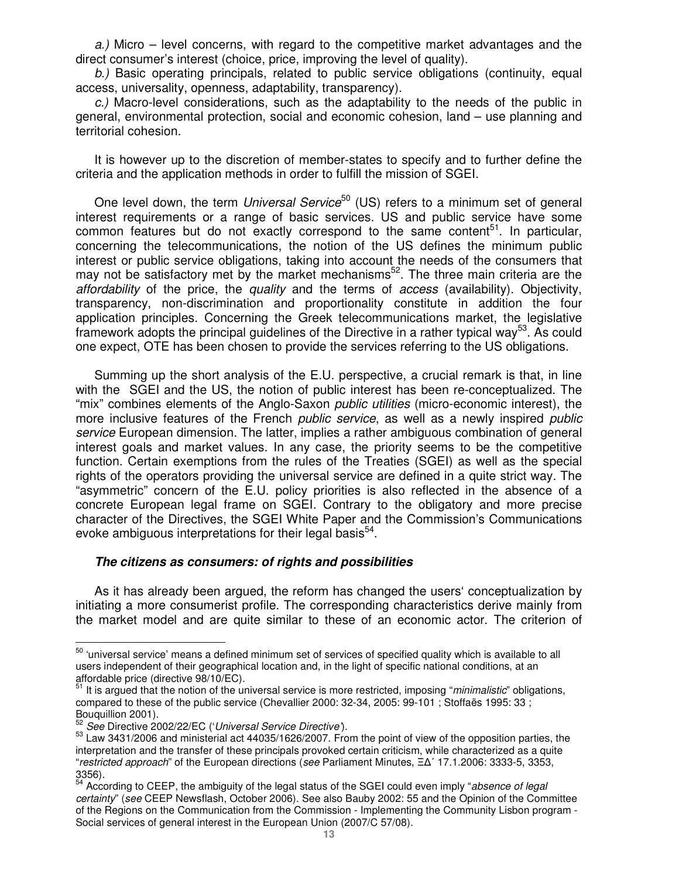a.) Micro – level concerns, with regard to the competitive market advantages and the direct consumer's interest (choice, price, improving the level of quality).

b.) Basic operating principals, related to public service obligations (continuity, equal access, universality, openness, adaptability, transparency).

c.) Macro-level considerations, such as the adaptability to the needs of the public in general, environmental protection, social and economic cohesion, land – use planning and territorial cohesion.

It is however up to the discretion of member-states to specify and to further define the criteria and the application methods in order to fulfill the mission of SGEI.

One level down, the term *Universal Service*<sup>50</sup> (US) refers to a minimum set of general interest requirements or a range of basic services. US and public service have some common features but do not exactly correspond to the same content<sup>51</sup>. In particular, concerning the telecommunications, the notion of the US defines the minimum public interest or public service obligations, taking into account the needs of the consumers that may not be satisfactory met by the market mechanisms<sup>52</sup>. The three main criteria are the affordability of the price, the quality and the terms of access (availability). Objectivity, transparency, non-discrimination and proportionality constitute in addition the four application principles. Concerning the Greek telecommunications market, the legislative framework adopts the principal guidelines of the Directive in a rather typical way<sup>53</sup>. As could one expect, OTE has been chosen to provide the services referring to the US obligations.

Summing up the short analysis of the E.U. perspective, a crucial remark is that, in line with the SGEI and the US, the notion of public interest has been re-conceptualized. The "mix" combines elements of the Anglo-Saxon public utilities (micro-economic interest), the more inclusive features of the French *public service*, as well as a newly inspired *public* service European dimension. The latter, implies a rather ambiguous combination of general interest goals and market values. In any case, the priority seems to be the competitive function. Certain exemptions from the rules of the Treaties (SGEI) as well as the special rights of the operators providing the universal service are defined in a quite strict way. The "asymmetric" concern of the E.U. policy priorities is also reflected in the absence of a concrete European legal frame on SGEI. Contrary to the obligatory and more precise character of the Directives, the SGEI White Paper and the Commission's Communications evoke ambiguous interpretations for their legal basis<sup>54</sup>.

#### **The citizens as consumers: of rights and possibilities**

As it has already been argued, the reform has changed the users' conceptualization by initiating a more consumerist profile. The corresponding characteristics derive mainly from the market model and are quite similar to these of an economic actor. The criterion of

 $50$  'universal service' means a defined minimum set of services of specified quality which is available to all users independent of their geographical location and, in the light of specific national conditions, at an affordable price (directive 98/10/EC).

It is argued that the notion of the universal service is more restricted, imposing "minimalistic" obligations, compared to these of the public service (Chevallier 2000: 32-34, 2005: 99-101 ; Stoffaës 1995: 33 ; Bouquillion 2001).

See Directive 2002/22/EC ('Universal Service Directive').

<sup>53</sup> Law 3431/2006 and ministerial act 44035/1626/2007. From the point of view of the opposition parties, the interpretation and the transfer of these principals provoked certain criticism, while characterized as a quite "restricted approach" of the European directions (see Parliament Minutes, Ξ∆΄ 17.1.2006: 3333-5, 3353, 3356).

<sup>&</sup>lt;sup>54</sup> According to CEEP, the ambiguity of the legal status of the SGEI could even imply "absence of legal certainty" (see CEEP Newsflash, October 2006). See also Bauby 2002: 55 and the Opinion of the Committee of the Regions on the Communication from the Commission - Implementing the Community Lisbon program - Social services of general interest in the European Union (2007/C 57/08).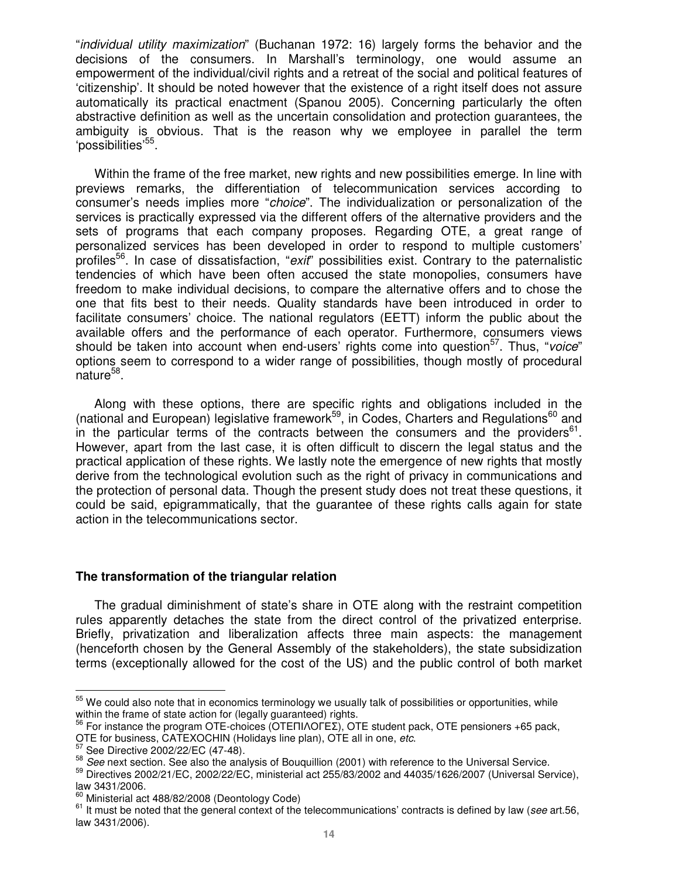"individual utility maximization" (Buchanan 1972: 16) largely forms the behavior and the decisions of the consumers. In Marshall's terminology, one would assume an empowerment of the individual/civil rights and a retreat of the social and political features of 'citizenship'. It should be noted however that the existence of a right itself does not assure automatically its practical enactment (Spanou 2005). Concerning particularly the often abstractive definition as well as the uncertain consolidation and protection guarantees, the ambiguity is obvious. That is the reason why we employee in parallel the term 'possibilities'<sup>55</sup>.

Within the frame of the free market, new rights and new possibilities emerge. In line with previews remarks, the differentiation of telecommunication services according to consumer's needs implies more "choice". The individualization or personalization of the services is practically expressed via the different offers of the alternative providers and the sets of programs that each company proposes. Regarding OTE, a great range of personalized services has been developed in order to respond to multiple customers' profiles<sup>56</sup>. In case of dissatisfaction, "*exit*" possibilities exist. Contrary to the paternalistic tendencies of which have been often accused the state monopolies, consumers have freedom to make individual decisions, to compare the alternative offers and to chose the one that fits best to their needs. Quality standards have been introduced in order to facilitate consumers' choice. The national regulators (EETT) inform the public about the available offers and the performance of each operator. Furthermore, consumers views should be taken into account when end-users' rights come into question $57$ . Thus, "voice" options seem to correspond to a wider range of possibilities, though mostly of procedural nature<sup>58</sup>.

Along with these options, there are specific rights and obligations included in the (national and European) legislative framework<sup>59</sup>, in Codes, Charters and Regulations<sup>60</sup> and in the particular terms of the contracts between the consumers and the providers $61$ . However, apart from the last case, it is often difficult to discern the legal status and the practical application of these rights. We lastly note the emergence of new rights that mostly derive from the technological evolution such as the right of privacy in communications and the protection of personal data. Though the present study does not treat these questions, it could be said, epigrammatically, that the guarantee of these rights calls again for state action in the telecommunications sector.

### **The transformation of the triangular relation**

The gradual diminishment of state's share in OTE along with the restraint competition rules apparently detaches the state from the direct control of the privatized enterprise. Briefly, privatization and liberalization affects three main aspects: the management (henceforth chosen by the General Assembly of the stakeholders), the state subsidization terms (exceptionally allowed for the cost of the US) and the public control of both market

l

 $^{55}$  We could also note that in economics terminology we usually talk of possibilities or opportunities, while within the frame of state action for (legally guaranteed) rights.

<sup>56</sup> For instance the program OTE-choices (OTEΠΙΛΟΓΕΣ), OTE student pack, OTE pensioners +65 pack,

OTE for business, CATEXOCHIN (Holidays line plan), OTE all in one, etc.

See Directive 2002/22/EC (47-48).

 $\frac{58}{2}$  See next section. See also the analysis of Bouquillion (2001) with reference to the Universal Service.<br> $\frac{58}{2}$  Directives 2002/21/EC, 2002/22/EC, ministerial act 255/82/2002 and 44035/1626/2007 (Universal Se

Directives 2002/21/EC, 2002/22/EC, ministerial act 255/83/2002 and 44035/1626/2007 (Universal Service), law 3431/2006.

Ministerial act 488/82/2008 (Deontology Code)

 $61$  It must be noted that the general context of the telecommunications' contracts is defined by law (see art.56, law 3431/2006).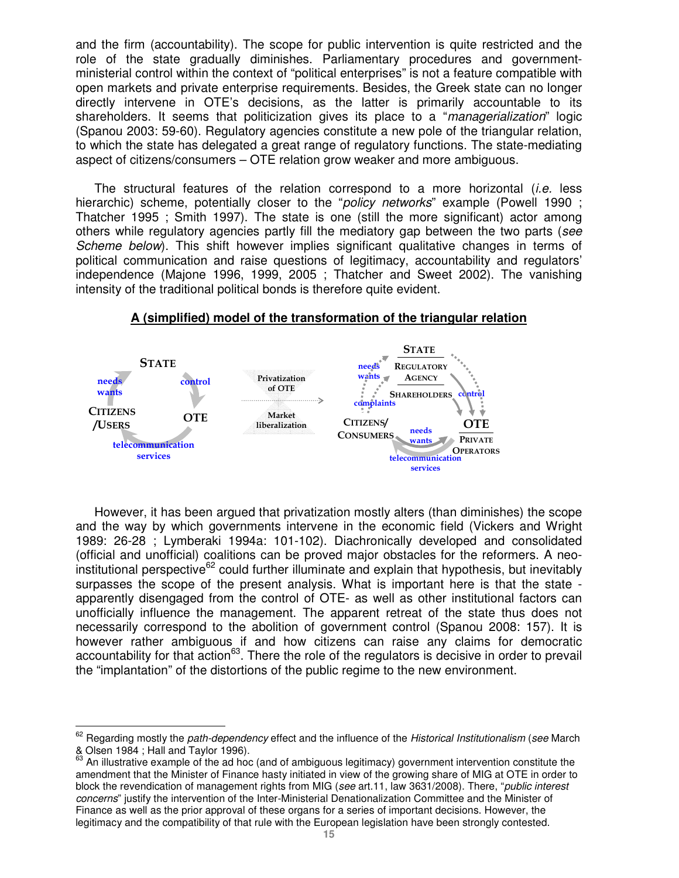and the firm (accountability). The scope for public intervention is quite restricted and the role of the state gradually diminishes. Parliamentary procedures and governmentministerial control within the context of "political enterprises" is not a feature compatible with open markets and private enterprise requirements. Besides, the Greek state can no longer directly intervene in OTE's decisions, as the latter is primarily accountable to its shareholders. It seems that politicization gives its place to a "*managerialization*" logic (Spanou 2003: 59-60). Regulatory agencies constitute a new pole of the triangular relation, to which the state has delegated a great range of regulatory functions. The state-mediating aspect of citizens/consumers – OTE relation grow weaker and more ambiguous.

The structural features of the relation correspond to a more horizontal (i.e. less hierarchic) scheme, potentially closer to the "policy networks" example (Powell 1990; Thatcher 1995 ; Smith 1997). The state is one (still the more significant) actor among others while regulatory agencies partly fill the mediatory gap between the two parts (see Scheme below). This shift however implies significant qualitative changes in terms of political communication and raise questions of legitimacy, accountability and regulators' independence (Majone 1996, 1999, 2005 ; Thatcher and Sweet 2002). The vanishing intensity of the traditional political bonds is therefore quite evident.



#### **A (simplified) model of the transformation of the triangular relation**

However, it has been argued that privatization mostly alters (than diminishes) the scope and the way by which governments intervene in the economic field (Vickers and Wright 1989: 26-28 ; Lymberaki 1994a: 101-102). Diachronically developed and consolidated (official and unofficial) coalitions can be proved major obstacles for the reformers. A neo- $\mu$  institutional perspective<sup>62</sup> could further illuminate and explain that hypothesis, but inevitably surpasses the scope of the present analysis. What is important here is that the state apparently disengaged from the control of OTE- as well as other institutional factors can unofficially influence the management. The apparent retreat of the state thus does not necessarily correspond to the abolition of government control (Spanou 2008: 157). It is however rather ambiguous if and how citizens can raise any claims for democratic accountability for that action<sup>63</sup>. There the role of the regulators is decisive in order to prevail the "implantation" of the distortions of the public regime to the new environment.

 $\overline{a}$  $62$  Regarding mostly the *path-dependency* effect and the influence of the Historical Institutionalism (see March & Olsen 1984 ; Hall and Taylor 1996).

<sup>63</sup> An illustrative example of the ad hoc (and of ambiguous legitimacy) government intervention constitute the amendment that the Minister of Finance hasty initiated in view of the growing share of MIG at OTE in order to block the revendication of management rights from MIG (see art.11, law 3631/2008). There, "public interest concerns" justify the intervention of the Inter-Ministerial Denationalization Committee and the Minister of Finance as well as the prior approval of these organs for a series of important decisions. However, the legitimacy and the compatibility of that rule with the European legislation have been strongly contested.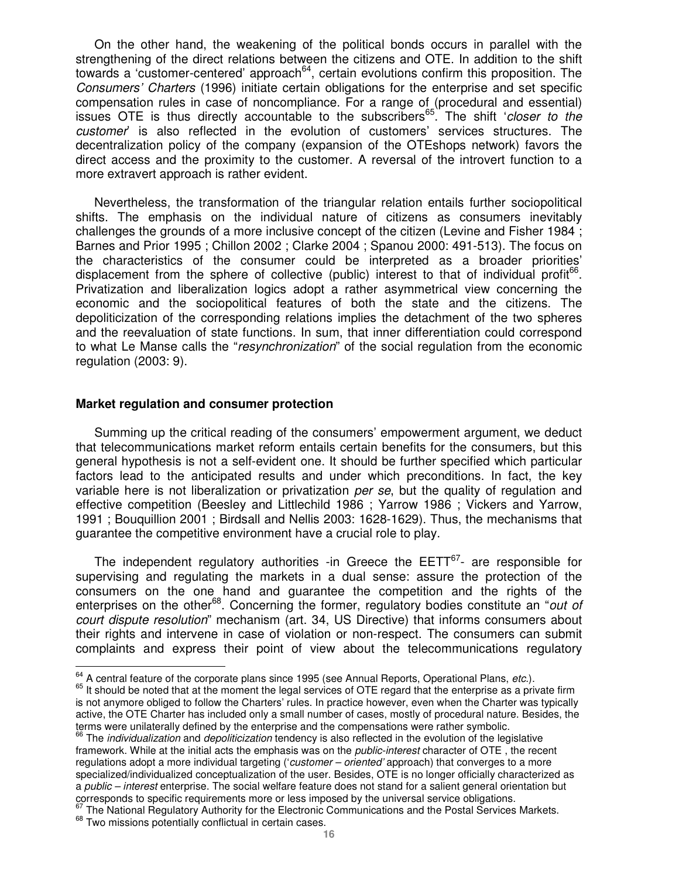On the other hand, the weakening of the political bonds occurs in parallel with the strengthening of the direct relations between the citizens and OTE. In addition to the shift towards a 'customer-centered' approach<sup>64</sup>, certain evolutions confirm this proposition. The Consumers' Charters (1996) initiate certain obligations for the enterprise and set specific compensation rules in case of noncompliance. For a range of (procedural and essential) issues OTE is thus directly accountable to the subscribers<sup>65</sup>. The shift 'closer to the customer' is also reflected in the evolution of customers' services structures. The decentralization policy of the company (expansion of the OTEshops network) favors the direct access and the proximity to the customer. A reversal of the introvert function to a more extravert approach is rather evident.

Nevertheless, the transformation of the triangular relation entails further sociopolitical shifts. The emphasis on the individual nature of citizens as consumers inevitably challenges the grounds of a more inclusive concept of the citizen (Levine and Fisher 1984 ; Barnes and Prior 1995 ; Chillon 2002 ; Clarke 2004 ; Spanou 2000: 491-513). The focus on the characteristics of the consumer could be interpreted as a broader priorities' displacement from the sphere of collective (public) interest to that of individual profit<sup>66</sup>. Privatization and liberalization logics adopt a rather asymmetrical view concerning the economic and the sociopolitical features of both the state and the citizens. The depoliticization of the corresponding relations implies the detachment of the two spheres and the reevaluation of state functions. In sum, that inner differentiation could correspond to what Le Manse calls the "resynchronization" of the social regulation from the economic regulation (2003: 9).

#### **Market regulation and consumer protection**

Summing up the critical reading of the consumers' empowerment argument, we deduct that telecommunications market reform entails certain benefits for the consumers, but this general hypothesis is not a self-evident one. It should be further specified which particular factors lead to the anticipated results and under which preconditions. In fact, the key variable here is not liberalization or privatization per se, but the quality of regulation and effective competition (Beesley and Littlechild 1986 ; Yarrow 1986 ; Vickers and Yarrow, 1991 ; Bouquillion 2001 ; Birdsall and Nellis 2003: 1628-1629). Thus, the mechanisms that guarantee the competitive environment have a crucial role to play.

The independent regulatory authorities -in Greece the  $EETT^{67}$ - are responsible for supervising and regulating the markets in a dual sense: assure the protection of the consumers on the one hand and guarantee the competition and the rights of the enterprises on the other<sup>68</sup>. Concerning the former, regulatory bodies constitute an "out of court dispute resolution" mechanism (art. 34, US Directive) that informs consumers about their rights and intervene in case of violation or non-respect. The consumers can submit complaints and express their point of view about the telecommunications regulatory

The National Regulatory Authority for the Electronic Communications and the Postal Services Markets.

 $\overline{a}$  $^{64}_{6}$  A central feature of the corporate plans since 1995 (see Annual Reports, Operational Plans, etc.).

<sup>&</sup>lt;sup>65</sup> It should be noted that at the moment the legal services of OTE regard that the enterprise as a private firm is not anymore obliged to follow the Charters' rules. In practice however, even when the Charter was typically active, the OTE Charter has included only a small number of cases, mostly of procedural nature. Besides, the terms were unilaterally defined by the enterprise and the compensations were rather symbolic.

 $66$  The *individualization* and *depoliticization* tendency is also reflected in the evolution of the legislative framework. While at the initial acts the emphasis was on the *public-interest* character of OTE, the recent regulations adopt a more individual targeting ('customer – oriented' approach) that converges to a more specialized/individualized conceptualization of the user. Besides, OTE is no longer officially characterized as a public – interest enterprise. The social welfare feature does not stand for a salient general orientation but corresponds to specific requirements more or less imposed by the universal service obligations.

<sup>&</sup>lt;sup>68</sup> Two missions potentially conflictual in certain cases.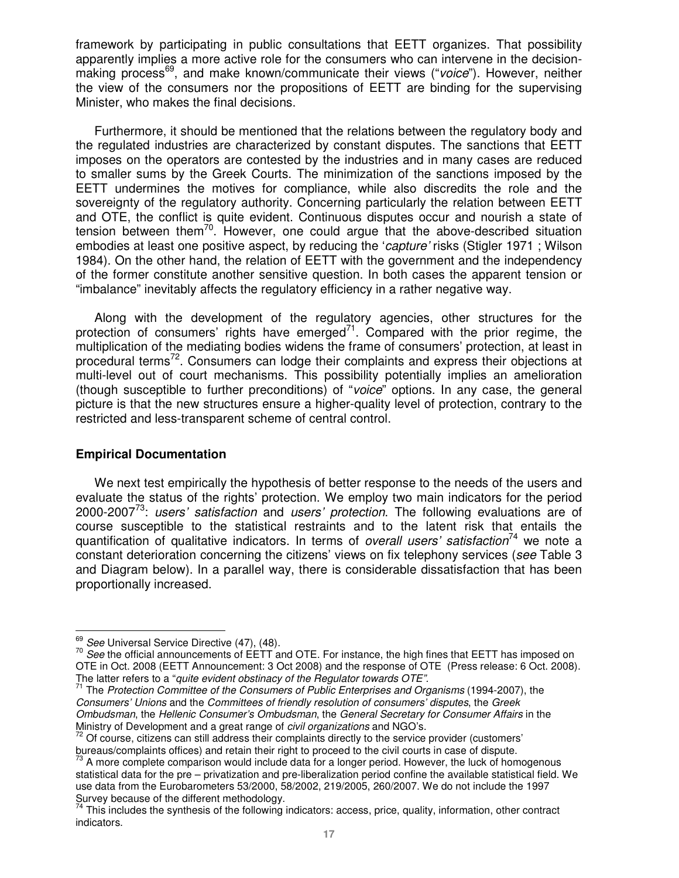framework by participating in public consultations that EETT organizes. That possibility apparently implies a more active role for the consumers who can intervene in the decisionmaking process<sup>69</sup>, and make known/communicate their views ("voice"). However, neither the view of the consumers nor the propositions of EETT are binding for the supervising Minister, who makes the final decisions.

Furthermore, it should be mentioned that the relations between the regulatory body and the regulated industries are characterized by constant disputes. The sanctions that EETT imposes on the operators are contested by the industries and in many cases are reduced to smaller sums by the Greek Courts. The minimization of the sanctions imposed by the EETT undermines the motives for compliance, while also discredits the role and the sovereignty of the regulatory authority. Concerning particularly the relation between EETT and OTE, the conflict is quite evident. Continuous disputes occur and nourish a state of tension between them<sup>70</sup>. However, one could argue that the above-described situation embodies at least one positive aspect, by reducing the 'capture' risks (Stigler 1971; Wilson 1984). On the other hand, the relation of EETT with the government and the independency of the former constitute another sensitive question. In both cases the apparent tension or "imbalance" inevitably affects the regulatory efficiency in a rather negative way.

Along with the development of the regulatory agencies, other structures for the protection of consumers' rights have emerged $^{71}$ . Compared with the prior regime, the multiplication of the mediating bodies widens the frame of consumers' protection, at least in procedural terms<sup>72</sup>. Consumers can lodge their complaints and express their objections at multi-level out of court mechanisms. This possibility potentially implies an amelioration (though susceptible to further preconditions) of "voice" options. In any case, the general picture is that the new structures ensure a higher-quality level of protection, contrary to the restricted and less-transparent scheme of central control.

### **Empirical Documentation**

We next test empirically the hypothesis of better response to the needs of the users and evaluate the status of the rights' protection. We employ two main indicators for the period 2000-2007<sup>73</sup>: users' satisfaction and users' protection. The following evaluations are of course susceptible to the statistical restraints and to the latent risk that entails the quantification of qualitative indicators. In terms of *overall users' satisfaction*<sup>74</sup> we note a constant deterioration concerning the citizens' views on fix telephony services (see Table 3 and Diagram below). In a parallel way, there is considerable dissatisfaction that has been proportionally increased.

 $\overline{a}$  $\frac{69}{1}$  See Universal Service Directive (47), (48).

<sup>&</sup>lt;sup>70</sup> See the official announcements of EETT and OTE. For instance, the high fines that EETT has imposed on OTE in Oct. 2008 (EETT Announcement: 3 Oct 2008) and the response of OTE (Press release: 6 Oct. 2008). The latter refers to a "quite evident obstinacy of the Regulator towards OTE".

<sup>&</sup>lt;sup>71</sup> The Protection Committee of the Consumers of Public Enterprises and Organisms (1994-2007), the Consumers' Unions and the Committees of friendly resolution of consumers' disputes, the Greek Ombudsman, the Hellenic Consumer's Ombudsman, the General Secretary for Consumer Affairs in the Ministry of Development and a great range of civil organizations and NGO's.

<sup>&</sup>lt;sup>72</sup> Of course, citizens can still address their complaints directly to the service provider (customers' bureaus/complaints offices) and retain their right to proceed to the civil courts in case of dispute.

 $73$  A more complete comparison would include data for a longer period. However, the luck of homogenous statistical data for the pre – privatization and pre-liberalization period confine the available statistical field. We use data from the Eurobarometers 53/2000, 58/2002, 219/2005, 260/2007. We do not include the 1997 Survey because of the different methodology.

 $74$  This includes the synthesis of the following indicators: access, price, quality, information, other contract indicators.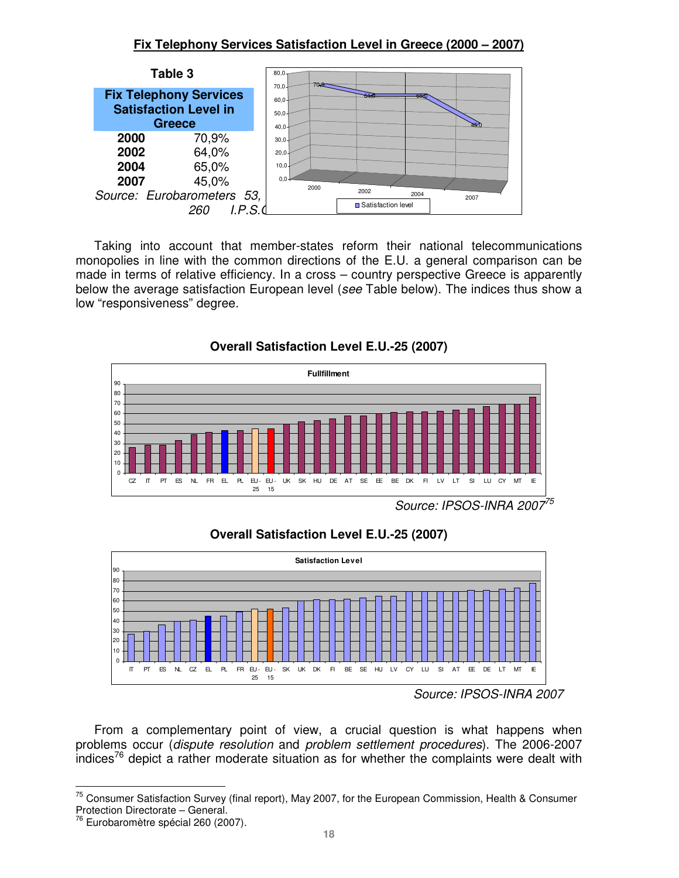## **Fix Telephony Services Satisfaction Level in Greece (2000 – 2007)**



Taking into account that member-states reform their national telecommunications monopolies in line with the common directions of the E.U. a general comparison can be made in terms of relative efficiency. In a cross – country perspective Greece is apparently below the average satisfaction European level (see Table below). The indices thus show a low "responsiveness" degree.



**Overall Satisfaction Level E.U.-25 (2007)** 



**Overall Satisfaction Level E.U.-25 (2007)** 

From a complementary point of view, a crucial question is what happens when problems occur (dispute resolution and problem settlement procedures). The 2006-2007 indices<sup>76</sup> depict a rather moderate situation as for whether the complaints were dealt with

Source: IPSOS-INRA 2007

 $\overline{a}$ <sup>75</sup> Consumer Satisfaction Survey (final report), May 2007, for the European Commission, Health & Consumer Protection Directorate – General.

<sup>&</sup>lt;sup>76</sup> Eurobaromètre spécial 260 (2007).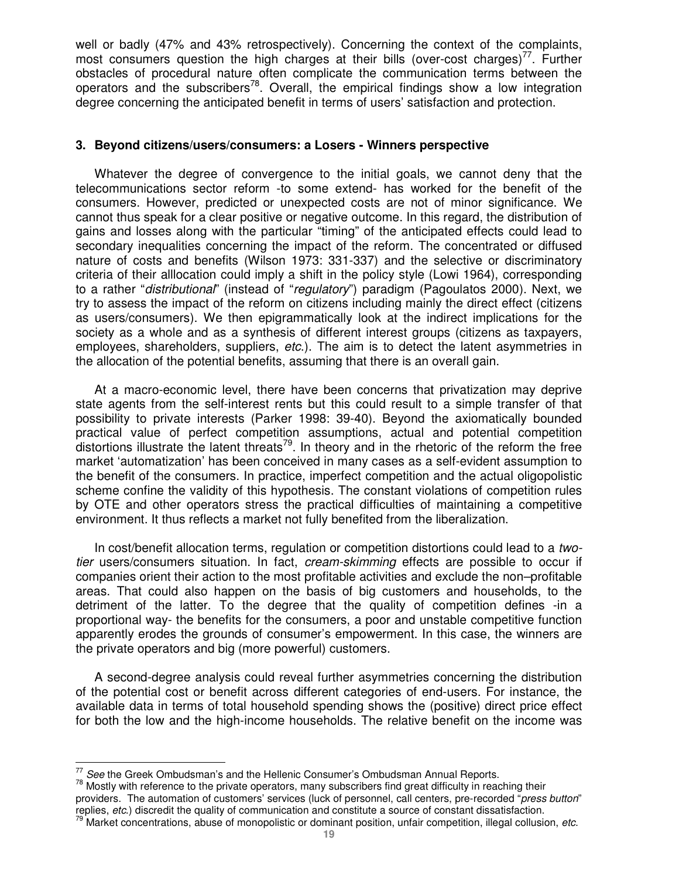well or badly (47% and 43% retrospectively). Concerning the context of the complaints, most consumers question the high charges at their bills (over-cost charges)<sup>77</sup>. Further obstacles of procedural nature often complicate the communication terms between the operators and the subscribers<sup>78</sup>. Overall, the empirical findings show a low integration degree concerning the anticipated benefit in terms of users' satisfaction and protection.

## **3. Beyond citizens/users/consumers: a Losers - Winners perspective**

Whatever the degree of convergence to the initial goals, we cannot deny that the telecommunications sector reform -to some extend- has worked for the benefit of the consumers. However, predicted or unexpected costs are not of minor significance. We cannot thus speak for a clear positive or negative outcome. In this regard, the distribution of gains and losses along with the particular "timing" of the anticipated effects could lead to secondary inequalities concerning the impact of the reform. The concentrated or diffused nature of costs and benefits (Wilson 1973: 331-337) and the selective or discriminatory criteria of their alllocation could imply a shift in the policy style (Lowi 1964), corresponding to a rather "*distributional*" (instead of "*regulatory*") paradigm (Pagoulatos 2000). Next, we try to assess the impact of the reform on citizens including mainly the direct effect (citizens as users/consumers). We then epigrammatically look at the indirect implications for the society as a whole and as a synthesis of different interest groups (citizens as taxpayers, employees, shareholders, suppliers, etc.). The aim is to detect the latent asymmetries in the allocation of the potential benefits, assuming that there is an overall gain.

At a macro-economic level, there have been concerns that privatization may deprive state agents from the self-interest rents but this could result to a simple transfer of that possibility to private interests (Parker 1998: 39-40). Beyond the axiomatically bounded practical value of perfect competition assumptions, actual and potential competition distortions illustrate the latent threats<sup>79</sup>. In theory and in the rhetoric of the reform the free market 'automatization' has been conceived in many cases as a self-evident assumption to the benefit of the consumers. In practice, imperfect competition and the actual oligopolistic scheme confine the validity of this hypothesis. The constant violations of competition rules by OTE and other operators stress the practical difficulties of maintaining a competitive environment. It thus reflects a market not fully benefited from the liberalization.

In cost/benefit allocation terms, regulation or competition distortions could lead to a twotier users/consumers situation. In fact, *cream-skimming* effects are possible to occur if companies orient their action to the most profitable activities and exclude the non–profitable areas. That could also happen on the basis of big customers and households, to the detriment of the latter. To the degree that the quality of competition defines -in a proportional way- the benefits for the consumers, a poor and unstable competitive function apparently erodes the grounds of consumer's empowerment. In this case, the winners are the private operators and big (more powerful) customers.

A second-degree analysis could reveal further asymmetries concerning the distribution of the potential cost or benefit across different categories of end-users. For instance, the available data in terms of total household spending shows the (positive) direct price effect for both the low and the high-income households. The relative benefit on the income was

l

<sup>78</sup> Mostly with reference to the private operators, many subscribers find great difficulty in reaching their providers. The automation of customers' services (luck of personnel, call centers, pre-recorded "press button" replies, etc.) discredit the quality of communication and constitute a source of constant dissatisfaction.

 $\frac{77}{10}$  See the Greek Ombudsman's and the Hellenic Consumer's Ombudsman Annual Reports.

<sup>&</sup>lt;sup>79</sup> Market concentrations, abuse of monopolistic or dominant position, unfair competition, illegal collusion, etc.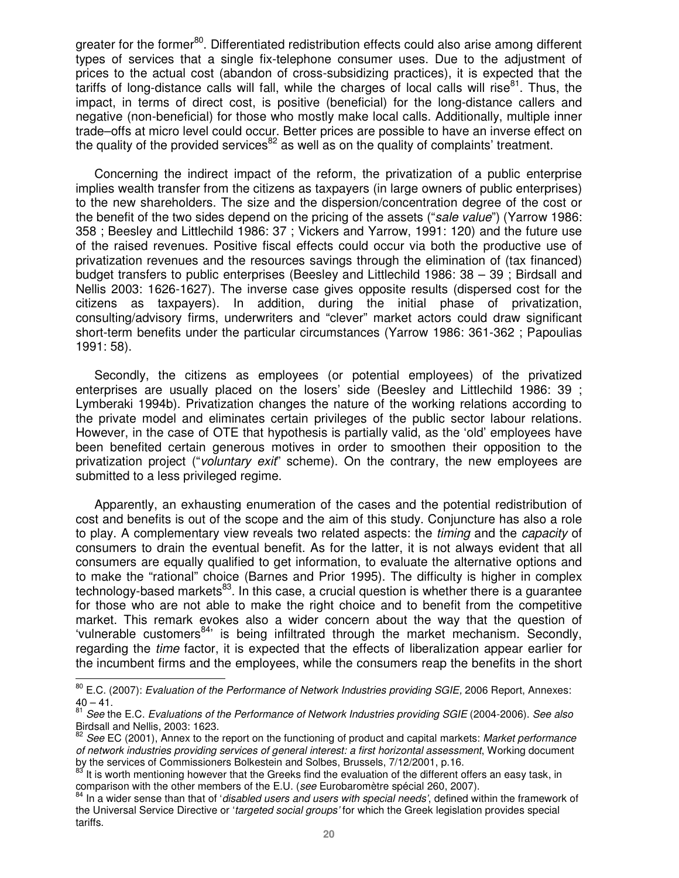greater for the former<sup>80</sup>. Differentiated redistribution effects could also arise among different types of services that a single fix-telephone consumer uses. Due to the adjustment of prices to the actual cost (abandon of cross-subsidizing practices), it is expected that the tariffs of long-distance calls will fall, while the charges of local calls will rise $^{81}$ . Thus, the impact, in terms of direct cost, is positive (beneficial) for the long-distance callers and negative (non-beneficial) for those who mostly make local calls. Additionally, multiple inner trade–offs at micro level could occur. Better prices are possible to have an inverse effect on the quality of the provided services<sup>82</sup> as well as on the quality of complaints' treatment.

Concerning the indirect impact of the reform, the privatization of a public enterprise implies wealth transfer from the citizens as taxpayers (in large owners of public enterprises) to the new shareholders. The size and the dispersion/concentration degree of the cost or the benefit of the two sides depend on the pricing of the assets ("sale value") (Yarrow 1986: 358 ; Beesley and Littlechild 1986: 37 ; Vickers and Yarrow, 1991: 120) and the future use of the raised revenues. Positive fiscal effects could occur via both the productive use of privatization revenues and the resources savings through the elimination of (tax financed) budget transfers to public enterprises (Beesley and Littlechild 1986: 38 – 39 ; Birdsall and Nellis 2003: 1626-1627). The inverse case gives opposite results (dispersed cost for the citizens as taxpayers). In addition, during the initial phase of privatization, consulting/advisory firms, underwriters and "clever" market actors could draw significant short-term benefits under the particular circumstances (Yarrow 1986: 361-362 ; Papoulias 1991: 58).

Secondly, the citizens as employees (or potential employees) of the privatized enterprises are usually placed on the losers' side (Beesley and Littlechild 1986: 39 ; Lymberaki 1994b). Privatization changes the nature of the working relations according to the private model and eliminates certain privileges of the public sector labour relations. However, in the case of OTE that hypothesis is partially valid, as the 'old' employees have been benefited certain generous motives in order to smoothen their opposition to the privatization project ("voluntary exit" scheme). On the contrary, the new employees are submitted to a less privileged regime.

Apparently, an exhausting enumeration of the cases and the potential redistribution of cost and benefits is out of the scope and the aim of this study. Conjuncture has also a role to play. A complementary view reveals two related aspects: the *timing* and the *capacity* of consumers to drain the eventual benefit. As for the latter, it is not always evident that all consumers are equally qualified to get information, to evaluate the alternative options and to make the "rational" choice (Barnes and Prior 1995). The difficulty is higher in complex technology-based markets $^{83}$ . In this case, a crucial question is whether there is a guarantee for those who are not able to make the right choice and to benefit from the competitive market. This remark evokes also a wider concern about the way that the question of 'vulnerable customers<sup>84</sup>' is being infiltrated through the market mechanism. Secondly, regarding the time factor, it is expected that the effects of liberalization appear earlier for the incumbent firms and the employees, while the consumers reap the benefits in the short

<sup>&</sup>lt;sup>80</sup> E.C. (2007): Evaluation of the Performance of Network Industries providing SGIE, 2006 Report, Annexes:  $40 - 41.$ 

See the E.C. Evaluations of the Performance of Network Industries providing SGIE (2004-2006). See also Birdsall and Nellis, 2003: 1623.

See EC (2001), Annex to the report on the functioning of product and capital markets: Market performance of network industries providing services of general interest: a first horizontal assessment, Working document by the services of Commissioners Bolkestein and Solbes, Brussels, 7/12/2001, p.16.

It is worth mentioning however that the Greeks find the evaluation of the different offers an easy task, in comparison with the other members of the E.U. (see Eurobaromètre spécial 260, 2007).

In a wider sense than that of 'disabled users and users with special needs', defined within the framework of the Universal Service Directive or 'targeted social groups' for which the Greek legislation provides special tariffs.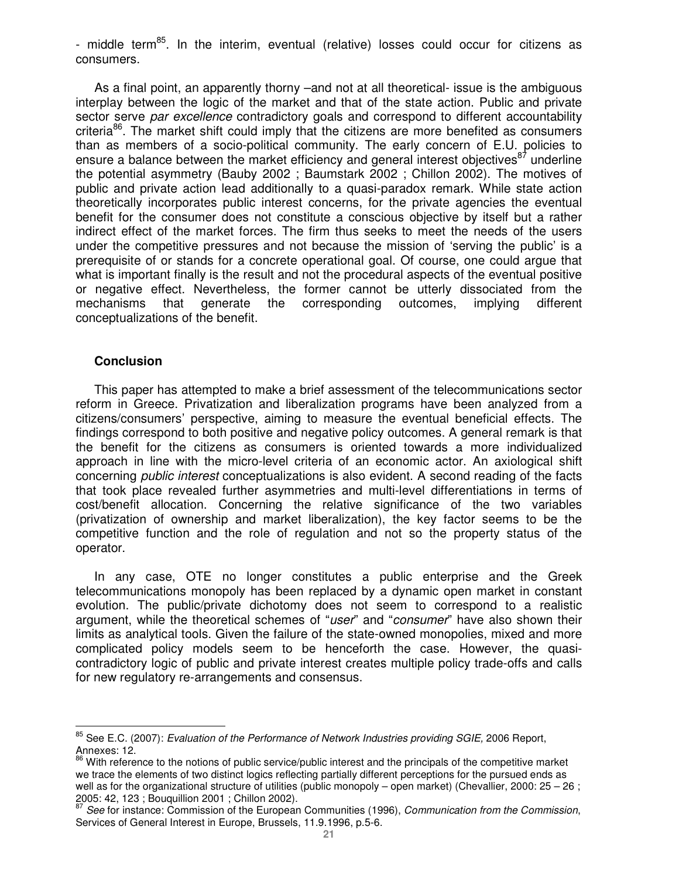- middle term<sup>85</sup>. In the interim, eventual (relative) losses could occur for citizens as consumers.

As a final point, an apparently thorny –and not at all theoretical- issue is the ambiguous interplay between the logic of the market and that of the state action. Public and private sector serve par excellence contradictory goals and correspond to different accountability criteria<sup>86</sup>. The market shift could imply that the citizens are more benefited as consumers than as members of a socio-political community. The early concern of E.U. policies to ensure a balance between the market efficiency and general interest objectives<sup>87</sup> underline the potential asymmetry (Bauby 2002 ; Baumstark 2002 ; Chillon 2002). The motives of public and private action lead additionally to a quasi-paradox remark. While state action theoretically incorporates public interest concerns, for the private agencies the eventual benefit for the consumer does not constitute a conscious objective by itself but a rather indirect effect of the market forces. The firm thus seeks to meet the needs of the users under the competitive pressures and not because the mission of 'serving the public' is a prerequisite of or stands for a concrete operational goal. Of course, one could argue that what is important finally is the result and not the procedural aspects of the eventual positive or negative effect. Nevertheless, the former cannot be utterly dissociated from the mechanisms that generate the corresponding outcomes, implying different conceptualizations of the benefit.

#### **Conclusion**

 $\overline{a}$ 

This paper has attempted to make a brief assessment of the telecommunications sector reform in Greece. Privatization and liberalization programs have been analyzed from a citizens/consumers' perspective, aiming to measure the eventual beneficial effects. The findings correspond to both positive and negative policy outcomes. A general remark is that the benefit for the citizens as consumers is oriented towards a more individualized approach in line with the micro-level criteria of an economic actor. An axiological shift concerning public interest conceptualizations is also evident. A second reading of the facts that took place revealed further asymmetries and multi-level differentiations in terms of cost/benefit allocation. Concerning the relative significance of the two variables (privatization of ownership and market liberalization), the key factor seems to be the competitive function and the role of regulation and not so the property status of the operator.

In any case, OTE no longer constitutes a public enterprise and the Greek telecommunications monopoly has been replaced by a dynamic open market in constant evolution. The public/private dichotomy does not seem to correspond to a realistic argument, while the theoretical schemes of "user" and "consumer" have also shown their limits as analytical tools. Given the failure of the state-owned monopolies, mixed and more complicated policy models seem to be henceforth the case. However, the quasicontradictory logic of public and private interest creates multiple policy trade-offs and calls for new regulatory re-arrangements and consensus.

<sup>&</sup>lt;sup>85</sup> See E.C. (2007): *Evaluation of the Performance of Network Industries providing SGIE,* 2006 Report, Annexes: 12.

<sup>&</sup>lt;sup>86</sup> With reference to the notions of public service/public interest and the principals of the competitive market we trace the elements of two distinct logics reflecting partially different perceptions for the pursued ends as well as for the organizational structure of utilities (public monopoly – open market) (Chevallier, 2000: 25 – 26; 2005: 42, 123 ; Bouquillion 2001 ; Chillon 2002).

See for instance: Commission of the European Communities (1996), Communication from the Commission, Services of General Interest in Europe, Brussels, 11.9.1996, p.5-6.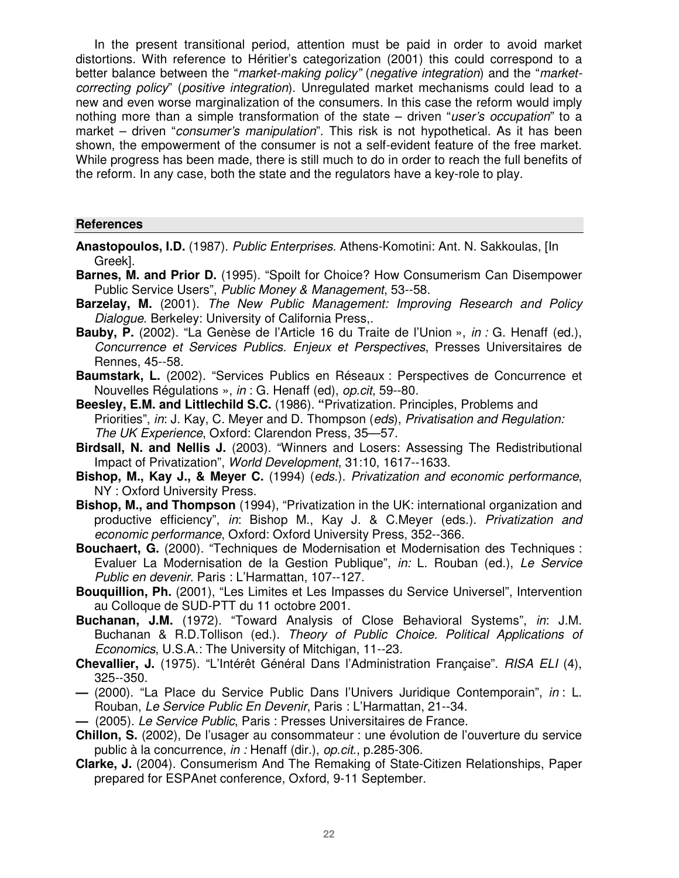In the present transitional period, attention must be paid in order to avoid market distortions. With reference to Héritier's categorization (2001) this could correspond to a better balance between the "market-making policy" (negative integration) and the "marketcorrecting policy" (positive integration). Unregulated market mechanisms could lead to a new and even worse marginalization of the consumers. In this case the reform would imply nothing more than a simple transformation of the state – driven "user's occupation" to a market – driven "consumer's manipulation". This risk is not hypothetical. As it has been shown, the empowerment of the consumer is not a self-evident feature of the free market. While progress has been made, there is still much to do in order to reach the full benefits of the reform. In any case, both the state and the regulators have a key-role to play.

## **References**

- **Anastopoulos, I.D.** (1987). Public Enterprises. Athens-Komotini: Ant. N. Sakkoulas, [In Greek].
- **Barnes, M. and Prior D.** (1995). "Spoilt for Choice? How Consumerism Can Disempower Public Service Users", Public Money & Management, 53--58.
- Barzelay, M. (2001). The New Public Management: Improving Research and Policy Dialogue. Berkeley: University of California Press..
- **Bauby, P.** (2002). "La Genèse de l'Article 16 du Traite de l'Union », in : G. Henaff (ed.), Concurrence et Services Publics. Enjeux et Perspectives, Presses Universitaires de Rennes, 45--58.
- **Baumstark, L.** (2002). "Services Publics en Réseaux : Perspectives de Concurrence et Nouvelles Régulations », in : G. Henaff (ed), op.cit, 59--80.
- **Beesley, E.M. and Littlechild S.C.** (1986). **"**Privatization. Principles, Problems and Priorities", in: J. Kay, C. Meyer and D. Thompson (eds), Privatisation and Regulation: The UK Experience, Oxford: Clarendon Press, 35—57.
- **Birdsall, N. and Nellis J.** (2003). "Winners and Losers: Assessing The Redistributional Impact of Privatization", World Development, 31:10, 1617--1633.
- **Bishop, M., Kay J., & Meyer C.** (1994) (eds.). Privatization and economic performance, NY : Oxford University Press.
- **Bishop, M., and Thompson** (1994), "Privatization in the UK: international organization and productive efficiency", in: Bishop M., Kay J. & C.Meyer (eds.). Privatization and economic performance, Oxford: Oxford University Press, 352--366.
- **Bouchaert, G.** (2000). "Techniques de Modernisation et Modernisation des Techniques : Evaluer La Modernisation de la Gestion Publique", in: L. Rouban (ed.), Le Service Public en devenir. Paris : L'Harmattan, 107--127.
- **Bouquillion, Ph.** (2001), "Les Limites et Les Impasses du Service Universel", Intervention au Colloque de SUD-PTT du 11 octobre 2001.
- **Buchanan, J.M.** (1972). "Toward Analysis of Close Behavioral Systems", in: J.M. Buchanan & R.D.Tollison (ed.). Theory of Public Choice. Political Applications of Economics, U.S.A.: The University of Mitchigan, 11--23.
- **Chevallier, J.** (1975). "L'Intérêt Général Dans l'Administration Française". RISA ELI (4), 325--350.
- (2000). "La Place du Service Public Dans l'Univers Juridique Contemporain", in : L. Rouban, Le Service Public En Devenir, Paris : L'Harmattan, 21--34.
- **—** (2005). Le Service Public, Paris : Presses Universitaires de France.
- **Chillon, S.** (2002), De l'usager au consommateur : une évolution de l'ouverture du service public à la concurrence, in : Henaff (dir.), op.cit., p.285-306.
- **Clarke, J.** (2004). Consumerism And The Remaking of State-Citizen Relationships, Paper prepared for ESPAnet conference, Oxford, 9-11 September.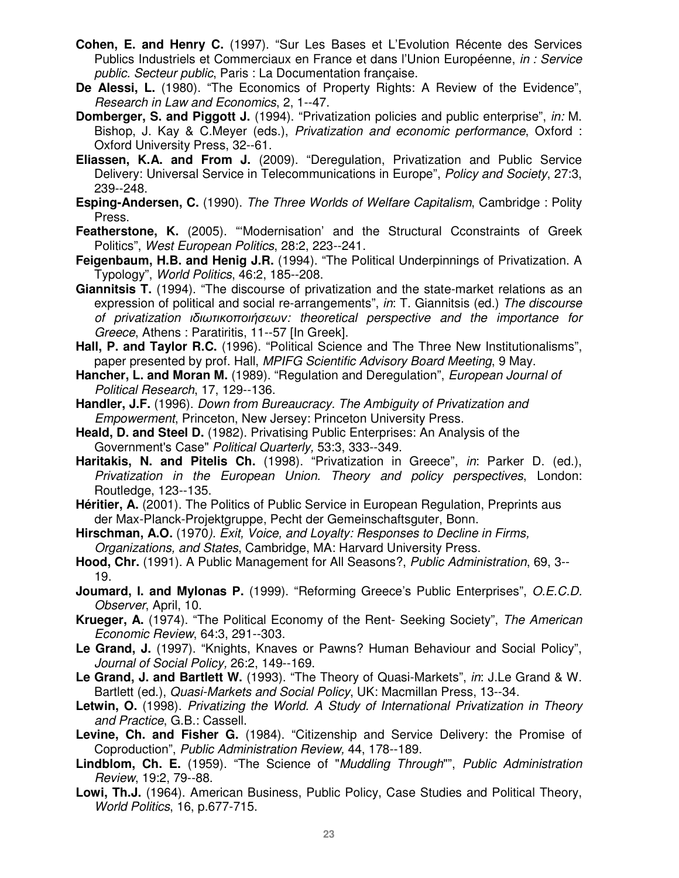- **Cohen, E. and Henry C.** (1997). "Sur Les Bases et L'Evolution Récente des Services Publics Industriels et Commerciaux en France et dans l'Union Européenne, in : Service public. Secteur public, Paris : La Documentation française.
- **De Alessi, L.** (1980). "The Economics of Property Rights: A Review of the Evidence", Research in Law and Economics, 2, 1--47.
- **Domberger, S. and Piggott J.** (1994). "Privatization policies and public enterprise", in: M. Bishop, J. Kay & C.Meyer (eds.), Privatization and economic performance, Oxford : Oxford University Press, 32--61.
- **Eliassen, K.A. and From J.** (2009). "Deregulation, Privatization and Public Service Delivery: Universal Service in Telecommunications in Europe", Policy and Society, 27:3, 239--248.
- **Esping-Andersen, C.** (1990). The Three Worlds of Welfare Capitalism, Cambridge : Polity Press.
- **Featherstone, K.** (2005). "Modernisation' and the Structural Cconstraints of Greek Politics", West European Politics, 28:2, 223--241.
- **Feigenbaum, H.B. and Henig J.R.** (1994). "The Political Underpinnings of Privatization. A Typology", World Politics, 46:2, 185--208.
- **Giannitsis T.** (1994). "The discourse of privatization and the state-market relations as an expression of political and social re-arrangements", in: T. Giannitsis (ed.) The discourse of privatization ιδιωτικοποιήσεων: theoretical perspective and the importance for Greece, Athens : Paratiritis, 11--57 [In Greek].
- **Hall, P. and Taylor R.C.** (1996). "Political Science and The Three New Institutionalisms", paper presented by prof. Hall, MPIFG Scientific Advisory Board Meeting, 9 May.
- **Hancher, L. and Moran M.** (1989). "Regulation and Deregulation", *European Journal of* Political Research, 17, 129--136.
- **Handler, J.F.** (1996). Down from Bureaucracy. The Ambiguity of Privatization and Empowerment, Princeton, New Jersey: Princeton University Press.
- **Heald, D. and Steel D.** (1982). Privatising Public Enterprises: An Analysis of the Government's Case" Political Quarterly, 53:3, 333--349.
- Haritakis, N. and Pitelis Ch. (1998). "Privatization in Greece", in: Parker D. (ed.). Privatization in the European Union. Theory and policy perspectives, London: Routledge, 123--135.
- **Héritier, A.** (2001). The Politics of Public Service in European Regulation, Preprints aus der Max-Planck-Projektgruppe, Pecht der Gemeinschaftsguter, Bonn.
- **Hirschman, A.O.** (1970). Exit, Voice, and Loyalty: Responses to Decline in Firms, Organizations, and States, Cambridge, MA: Harvard University Press.
- **Hood, Chr.** (1991). A Public Management for All Seasons?, Public Administration, 69, 3-- 19.
- **Joumard,** Ι**. and Mylonas** Ρ**.** (1999). "Reforming Greece's Public Enterprises", O.E.C.D. Observer, April, 10.
- **Krueger, A.** (1974). "The Political Economy of the Rent- Seeking Society", The American Economic Review, 64:3, 291--303.
- **Le Grand, J.** (1997). "Knights, Knaves or Pawns? Human Behaviour and Social Policy", Journal of Social Policy, 26:2, 149--169.
- **Le Grand, J. and Bartlett W.** (1993). "The Theory of Quasi-Markets", in: J.Le Grand & W. Bartlett (ed.), Quasi-Markets and Social Policy, UK: Macmillan Press, 13--34.
- **Letwin, O.** (1998). Privatizing the World. A Study of International Privatization in Theory and Practice, G.B.: Cassell.
- **Levine, Ch. and Fisher G.** (1984). "Citizenship and Service Delivery: the Promise of Coproduction", Public Administration Review, 44, 178--189.
- **Lindblom, Ch. E.** (1959). "The Science of "Muddling Through"", Public Administration Review, 19:2, 79--88.
- **Lowi, Th.J.** (1964). American Business, Public Policy, Case Studies and Political Theory, World Politics, 16, p.677-715.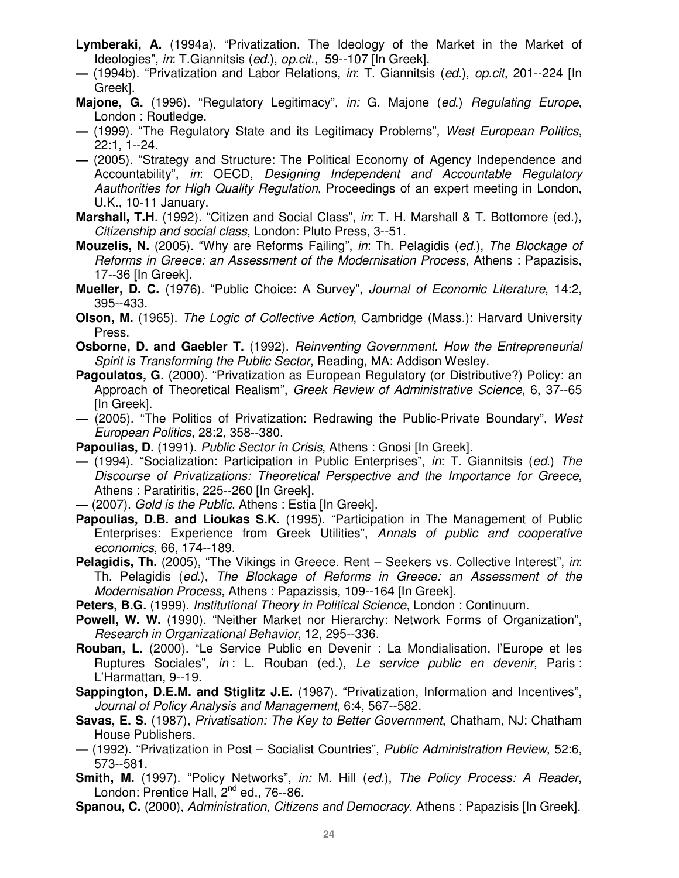- **Lymberaki, A.** (1994a). "Privatization. The Ideology of the Market in the Market of Ideologies", in: T.Giannitsis (ed.), op.cit., 59--107 [In Greek].
- (1994b). "Privatization and Labor Relations, in: T. Giannitsis (ed.), op.cit, 201--224 [In Greek].
- **Majone, G.** (1996). "Regulatory Legitimacy", in: G. Majone (ed.) Regulating Europe, London : Routledge.
- **—** (1999). "The Regulatory State and its Legitimacy Problems", West European Politics, 22:1, 1--24.
- **—** (2005). "Strategy and Structure: The Political Economy of Agency Independence and Accountability", in: OECD, Designing Independent and Accountable Regulatory Aauthorities for High Quality Regulation, Proceedings of an expert meeting in London, U.K., 10-11 January.
- **Marshall, T.H**. (1992). "Citizen and Social Class", in: T. H. Marshall & T. Bottomore (ed.), Citizenship and social class, London: Pluto Press, 3--51.
- **Mouzelis, N.** (2005). "Why are Reforms Failing", in: Th. Pelagidis (ed.), The Blockage of Reforms in Greece: an Assessment of the Modernisation Process, Athens : Papazisis, 17--36 [In Greek].
- **Mueller, D. C.** (1976). "Public Choice: A Survey", Journal of Economic Literature, 14:2, 395--433.
- **Olson, M.** (1965). The Logic of Collective Action, Cambridge (Mass.): Harvard University Press.
- **Osborne, D. and Gaebler T.** (1992). Reinventing Government. How the Entrepreneurial Spirit is Transforming the Public Sector, Reading, MA: Addison Wesley.
- **Pagoulatos, G.** (2000). "Privatization as European Regulatory (or Distributive?) Policy: an Approach of Theoretical Realism", Greek Review of Administrative Science, 6, 37--65 [In Greek].
- **—** (2005). "The Politics of Privatization: Redrawing the Public-Private Boundary", West European Politics, 28:2, 358--380.
- **Papoulias, D.** (1991). *Public Sector in Crisis*. Athens: Gnosi [In Greek].
- **—** (1994). "Socialization: Participation in Public Enterprises", in: T. Giannitsis (ed.) The Discourse of Privatizations: Theoretical Perspective and the Importance for Greece, Athens : Paratiritis, 225--260 [In Greek].
- (2007). Gold is the Public, Athens : Estia [In Greek].
- **Papoulias, D.B. and Lioukas S.K.** (1995). "Participation in The Management of Public Enterprises: Experience from Greek Utilities", Annals of public and cooperative economics, 66, 174--189.
- **Pelagidis, Th.** (2005), "The Vikings in Greece. Rent Seekers vs. Collective Interest", in: Th. Pelagidis (ed.), The Blockage of Reforms in Greece: an Assessment of the Modernisation Process, Athens : Papazissis, 109--164 [In Greek].
- **Peters, B.G.** (1999). Institutional Theory in Political Science, London : Continuum.
- **Powell, W. W.** (1990). "Neither Market nor Hierarchy: Network Forms of Organization", Research in Organizational Behavior, 12, 295--336.
- **Rouban, L.** (2000). "Le Service Public en Devenir : La Mondialisation, l'Europe et les Ruptures Sociales", in : L. Rouban (ed.), Le service public en devenir, Paris : L'Harmattan, 9--19.
- **Sappington, D.E.M. and Stiglitz J.E.** (1987). "Privatization, Information and Incentives", Journal of Policy Analysis and Management, 6:4, 567--582.
- **Savas, E. S.** (1987), Privatisation: The Key to Better Government, Chatham, NJ: Chatham House Publishers.
- **—** (1992). "Privatization in Post Socialist Countries", Public Administration Review, 52:6, 573--581.
- Smith, M. (1997). "Policy Networks", in: M. Hill (ed.), The Policy Process: A Reader, London: Prentice Hall, 2<sup>nd</sup> ed., 76--86.
- **Spanou, C.** (2000), Administration, Citizens and Democracy, Athens : Papazisis [In Greek].